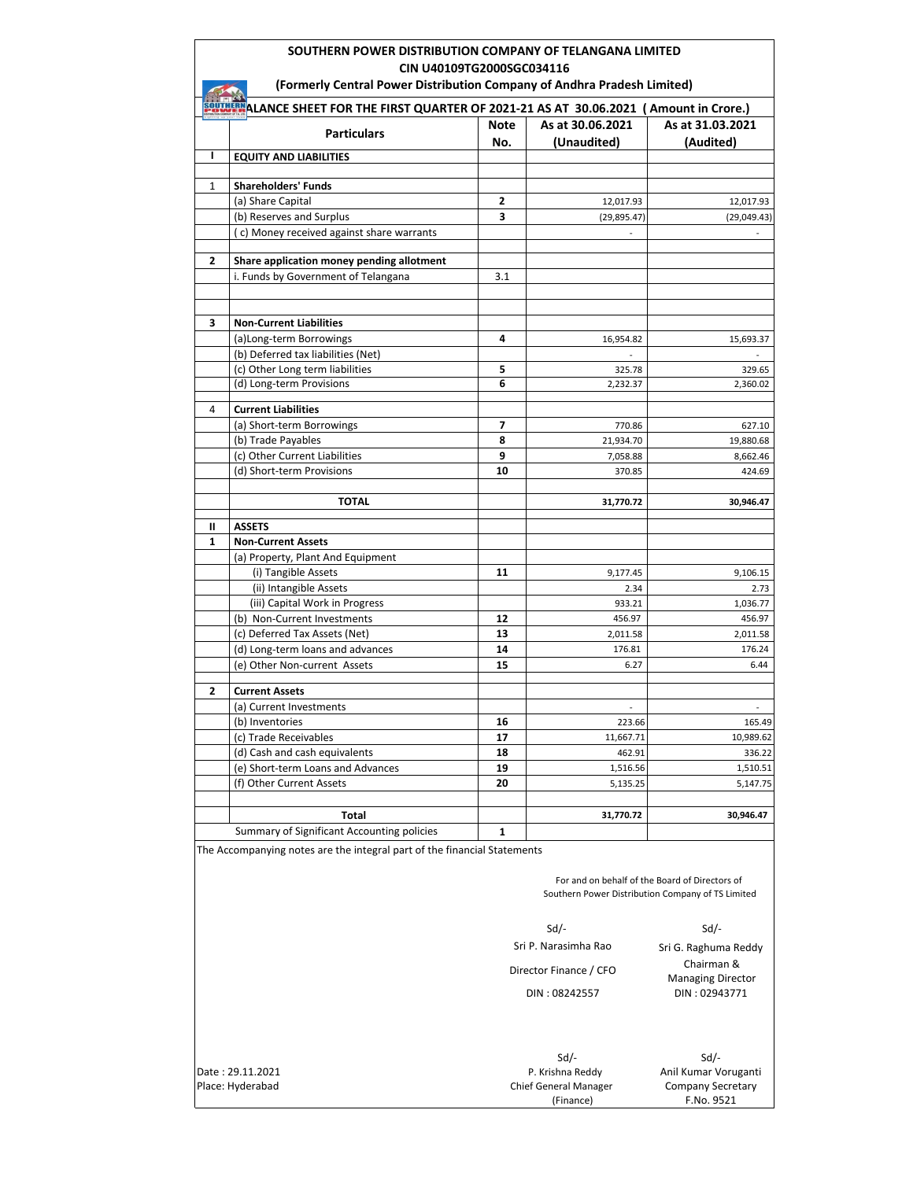# **SOUTHERN POWER DISTRIBUTION COMPANY OF TELANGANA LIMITED CIN U40109TG2000SGC034116**

|                                                                                                  | (Formerly Central Power Distribution Company of Andhra Pradesh Limited)  |             |                                                                                                     |                               |
|--------------------------------------------------------------------------------------------------|--------------------------------------------------------------------------|-------------|-----------------------------------------------------------------------------------------------------|-------------------------------|
| <b>SPULLER ALANCE SHEET FOR THE FIRST QUARTER OF 2021-21 AS AT 30.06.2021 (Amount in Crore.)</b> |                                                                          |             |                                                                                                     |                               |
|                                                                                                  | <b>Particulars</b>                                                       | Note<br>No. | As at 30.06.2021<br>(Unaudited)                                                                     | As at 31.03.2021<br>(Audited) |
| L                                                                                                | <b>EQUITY AND LIABILITIES</b>                                            |             |                                                                                                     |                               |
|                                                                                                  |                                                                          |             |                                                                                                     |                               |
| 1                                                                                                | <b>Shareholders' Funds</b>                                               |             |                                                                                                     |                               |
|                                                                                                  | (a) Share Capital<br>(b) Reserves and Surplus                            | 2<br>3      | 12,017.93                                                                                           | 12,017.93                     |
|                                                                                                  | (c) Money received against share warrants                                |             | (29, 895.47)                                                                                        | (29,049.43)                   |
|                                                                                                  |                                                                          |             |                                                                                                     |                               |
| 2                                                                                                | Share application money pending allotment                                |             |                                                                                                     |                               |
|                                                                                                  | i. Funds by Government of Telangana                                      | 3.1         |                                                                                                     |                               |
|                                                                                                  |                                                                          |             |                                                                                                     |                               |
|                                                                                                  |                                                                          |             |                                                                                                     |                               |
| 3                                                                                                | <b>Non-Current Liabilities</b>                                           |             |                                                                                                     |                               |
|                                                                                                  | (a)Long-term Borrowings<br>(b) Deferred tax liabilities (Net)            | 4           | 16,954.82                                                                                           | 15,693.37                     |
|                                                                                                  | (c) Other Long term liabilities                                          | 5           | 325.78                                                                                              | 329.65                        |
|                                                                                                  | (d) Long-term Provisions                                                 | 6           | 2,232.37                                                                                            | 2,360.02                      |
|                                                                                                  |                                                                          |             |                                                                                                     |                               |
| 4                                                                                                | <b>Current Liabilities</b>                                               |             |                                                                                                     |                               |
|                                                                                                  | (a) Short-term Borrowings                                                | 7           | 770.86                                                                                              | 627.10                        |
|                                                                                                  | (b) Trade Payables<br>(c) Other Current Liabilities                      | 8<br>9      | 21,934.70                                                                                           | 19,880.68                     |
|                                                                                                  | (d) Short-term Provisions                                                | 10          | 7,058.88<br>370.85                                                                                  | 8,662.46<br>424.69            |
|                                                                                                  |                                                                          |             |                                                                                                     |                               |
|                                                                                                  | <b>TOTAL</b>                                                             |             | 31,770.72                                                                                           | 30,946.47                     |
|                                                                                                  |                                                                          |             |                                                                                                     |                               |
| Ш                                                                                                | <b>ASSETS</b>                                                            |             |                                                                                                     |                               |
| 1                                                                                                | <b>Non-Current Assets</b><br>(a) Property, Plant And Equipment           |             |                                                                                                     |                               |
|                                                                                                  | (i) Tangible Assets                                                      | 11          | 9,177.45                                                                                            | 9,106.15                      |
|                                                                                                  | (ii) Intangible Assets                                                   |             | 2.34                                                                                                | 2.73                          |
|                                                                                                  | (iii) Capital Work in Progress                                           |             | 933.21                                                                                              | 1,036.77                      |
|                                                                                                  | (b) Non-Current Investments                                              | 12          | 456.97                                                                                              | 456.97                        |
|                                                                                                  | (c) Deferred Tax Assets (Net)                                            | 13          | 2,011.58                                                                                            | 2,011.58                      |
|                                                                                                  | (d) Long-term loans and advances                                         | 14          | 176.81                                                                                              | 176.24                        |
|                                                                                                  | (e) Other Non-current Assets                                             | 15          | 6.27                                                                                                | 6.44                          |
|                                                                                                  |                                                                          |             |                                                                                                     |                               |
| $\mathbf{2}$                                                                                     | <b>Current Assets</b>                                                    |             |                                                                                                     |                               |
|                                                                                                  | (a) Current Investments<br>(b) Inventories                               | 16          | $\overline{\phantom{a}}$<br>223.66                                                                  | 165.49                        |
|                                                                                                  | (c) Trade Receivables                                                    | 17          | 11,667.71                                                                                           | 10,989.62                     |
|                                                                                                  | (d) Cash and cash equivalents                                            | 18          | 462.91                                                                                              | 336.22                        |
|                                                                                                  | (e) Short-term Loans and Advances                                        | 19          | 1,516.56                                                                                            | 1,510.51                      |
|                                                                                                  | (f) Other Current Assets                                                 | 20          | 5,135.25                                                                                            | 5,147.75                      |
|                                                                                                  |                                                                          |             |                                                                                                     |                               |
|                                                                                                  | <b>Total</b>                                                             |             | 31,770.72                                                                                           | 30,946.47                     |
|                                                                                                  | Summary of Significant Accounting policies                               | 1           |                                                                                                     |                               |
|                                                                                                  | The Accompanying notes are the integral part of the financial Statements |             |                                                                                                     |                               |
|                                                                                                  |                                                                          |             |                                                                                                     |                               |
|                                                                                                  |                                                                          |             | For and on behalf of the Board of Directors of<br>Southern Power Distribution Company of TS Limited |                               |
|                                                                                                  |                                                                          |             |                                                                                                     |                               |
|                                                                                                  |                                                                          |             | $Sd$ /-                                                                                             | Sd                            |
|                                                                                                  |                                                                          |             | Sri P. Narasimha Rao                                                                                | Sri G. Raghuma Reddy          |
|                                                                                                  |                                                                          |             |                                                                                                     | Chairman &                    |
|                                                                                                  |                                                                          |             | Director Finance / CFO                                                                              | <b>Managing Director</b>      |
|                                                                                                  |                                                                          |             | DIN: 08242557                                                                                       | DIN: 02943771                 |
|                                                                                                  |                                                                          |             |                                                                                                     |                               |
|                                                                                                  |                                                                          |             | $Sd$ /-                                                                                             | $Sd$ /-                       |
|                                                                                                  | Date: 29.11.2021                                                         |             | P. Krishna Reddy                                                                                    | Anil Kumar Voruganti          |
|                                                                                                  | Place: Hyderabad                                                         |             | <b>Chief General Manager</b>                                                                        | <b>Company Secretary</b>      |

Place: Hyderabad Company Secretary Chief General Manager

 P. Krishna Reddy (Finance)

F.No. 9521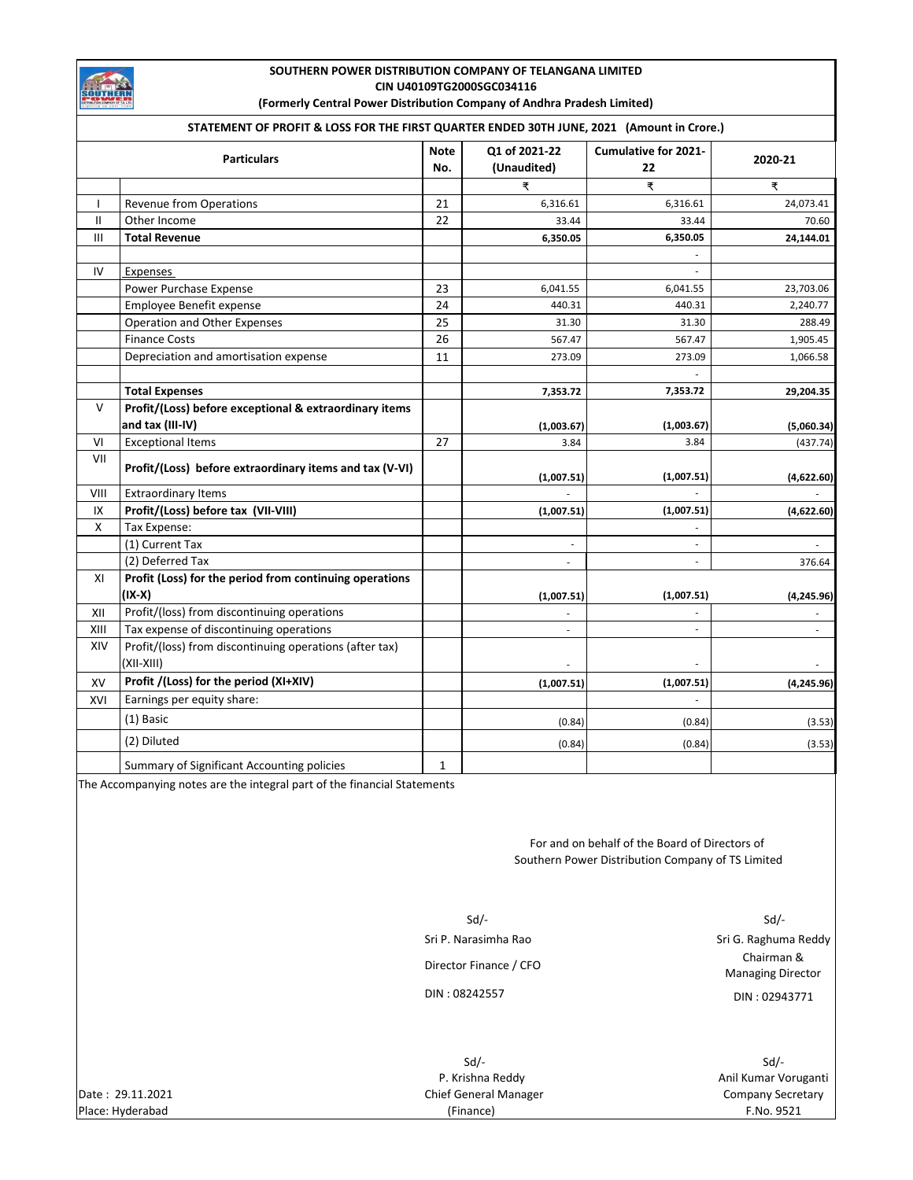

# **SOUTHERN POWER DISTRIBUTION COMPANY OF TELANGANA LIMITED CIN U40109TG2000SGC034116**

**(Formerly Central Power Distribution Company of Andhra Pradesh Limited)** 

|              | STATEMENT OF PROFIT & LOSS FOR THE FIRST QUARTER ENDED 30TH JUNE, 2021 (Amount in Crore.)  |                    |                              |                                   |             |
|--------------|--------------------------------------------------------------------------------------------|--------------------|------------------------------|-----------------------------------|-------------|
|              | <b>Particulars</b>                                                                         | <b>Note</b><br>No. | Q1 of 2021-22<br>(Unaudited) | <b>Cumulative for 2021-</b><br>22 | 2020-21     |
|              |                                                                                            |                    | ₹                            | ₹                                 | ₹           |
| T            | <b>Revenue from Operations</b>                                                             | 21                 | 6,316.61                     | 6,316.61                          | 24,073.41   |
| $\mathbf{H}$ | Other Income                                                                               | 22                 | 33.44                        | 33.44                             | 70.60       |
| Ш            | <b>Total Revenue</b>                                                                       |                    | 6,350.05                     | 6,350.05                          | 24,144.01   |
| IV           | Expenses                                                                                   |                    |                              |                                   |             |
|              | Power Purchase Expense                                                                     | 23                 | 6,041.55                     | 6,041.55                          | 23,703.06   |
|              | Employee Benefit expense                                                                   | 24                 | 440.31                       | 440.31                            | 2,240.77    |
|              | Operation and Other Expenses                                                               | 25                 | 31.30                        | 31.30                             | 288.49      |
|              | <b>Finance Costs</b>                                                                       | 26                 | 567.47                       | 567.47                            | 1,905.45    |
|              | Depreciation and amortisation expense                                                      | 11                 | 273.09                       | 273.09                            | 1,066.58    |
|              |                                                                                            |                    |                              |                                   |             |
|              | <b>Total Expenses</b>                                                                      |                    | 7,353.72                     | 7,353.72                          | 29,204.35   |
| v            | Profit/(Loss) before exceptional & extraordinary items                                     |                    |                              |                                   |             |
|              | and tax (III-IV)                                                                           |                    | (1,003.67)                   | (1,003.67)                        | (5,060.34)  |
| VI           | <b>Exceptional Items</b>                                                                   | 27                 | 3.84                         | 3.84                              | (437.74)    |
| VII          | Profit/(Loss) before extraordinary items and tax (V-VI)                                    |                    | (1,007.51)                   | (1,007.51)                        | (4,622.60)  |
| VIII         | <b>Extraordinary Items</b>                                                                 |                    |                              |                                   |             |
| IX           | Profit/(Loss) before tax (VII-VIII)                                                        |                    | (1,007.51)                   | (1,007.51)                        | (4,622.60)  |
| X            | Tax Expense:                                                                               |                    |                              |                                   |             |
|              | (1) Current Tax                                                                            |                    |                              | $\overline{\phantom{a}}$          |             |
|              | (2) Deferred Tax                                                                           |                    | $\overline{\phantom{a}}$     |                                   | 376.64      |
| XI           | Profit (Loss) for the period from continuing operations                                    |                    |                              |                                   |             |
|              | (IX-X)                                                                                     |                    | (1,007.51)                   | (1,007.51)                        | (4, 245.96) |
| XII          | Profit/(loss) from discontinuing operations                                                |                    |                              |                                   |             |
| XIII         | Tax expense of discontinuing operations                                                    |                    |                              |                                   |             |
| XIV          | Profit/(loss) from discontinuing operations (after tax)<br>(XII-XIII)                      |                    |                              |                                   |             |
| XV           | Profit /(Loss) for the period (XI+XIV)                                                     |                    | (1,007.51)                   | (1,007.51)                        | (4, 245.96) |
| XVI          | Earnings per equity share:                                                                 |                    |                              |                                   |             |
|              | (1) Basic                                                                                  |                    | (0.84)                       | (0.84)                            | (3.53)      |
|              | (2) Diluted                                                                                |                    | (0.84)                       | (0.84)                            | (3.53)      |
|              | $\mathbf{r}$ $\mathbf{r}$ $\mathbf{r}$ $\mathbf{r}$ $\mathbf{r}$ $\mathbf{r}$ $\mathbf{r}$ |                    |                              |                                   |             |

Summary of Significant Accounting policies 1

The Accompanying notes are the integral part of the financial Statements

For and on behalf of the Board of Directors of Southern Power Distribution Company of TS Limited

 Sd/- Sd/- Director Finance / CFO Chairman &

Sri P. Narasimha Rao Sri G. Raghuma Reddy Managing Director DIN : 08242557 DIN : 02943771

P. Krishna Reddy **Anil Kumar Voruganti Anil Kumar Voruganti** 

| Date: 29.11.2021 | Chief General Manager | Company Secre |
|------------------|-----------------------|---------------|
| Place: Hyderabad | (Finance)             | F.No. 9521    |

Sd/- Sd/- Chief General Manager Chief General Manager Company Secretary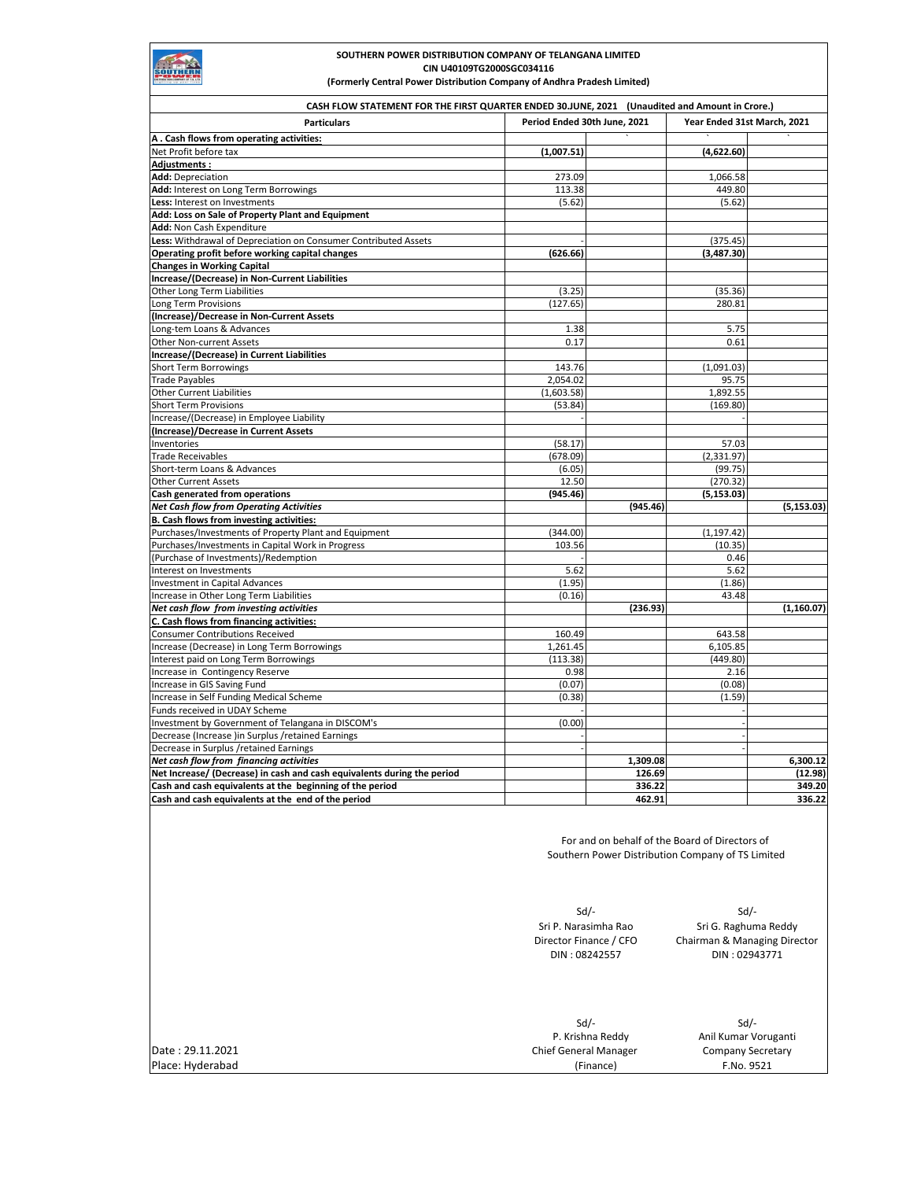

#### **SOUTHERN POWER DISTRIBUTION COMPANY OF TELANGANA LIMITED CIN U40109TG2000SGC034116 (Formerly Central Power Distribution Company of Andhra Pradesh Limited)**

**Particulars A . Cash flows from operating activities:** ` ` ` Net Profit before tax **(1,007.51) (4,622.60) Adjustments : Add:** Depreciation 1,066.58 1,066.58 1,066.58 1,066.58 1,066.58 1,066.58 1,066.58 1,066.58 1,066.58 1,066.58 1,066.58 1,066.58 1,066.58 1,066.58 1,066.58 1,066.58 1,066.58 1,066.58 1,066.58 1,066.58 1,066.58 1,066.58 1,06 Add: Interest on Long Term Borrowings 113.38 **Less:** Interest on Investments (5.62) (5.62) (5.62) **Add: Loss on Sale of Property Plant and Equipment Add:** Non Cash Expenditure **Less:** Withdrawal of Depreciation on Consumer Contributed Assets (375.45)<br> **Operating profit before working capital changes** (375.45) (626.66) (375.45) **Operating profit before working capital changes** (626.66) **Changes in Working Capital Increase/(Decrease) in Non-Current Liabilities** Other Long Term Liabilities (3.25) (35.36) (35.36) (35.36) (35.36) (35.36) (35.36) (35.36) (35.36) (35.36) (35<br>
Long Term Provisions (35.36) (127.65) (35.36) (35.36) (35.36) (35.36) (35.36) (35.36) (35.36) (35.36) (35.36) Long Term Provisions **(Increase)/Decrease in Non-Current Assets** Long-tem Loans & Advances 6.75 and the control of the control of the control of the control of the control of the control of the control of the control of the control of the control of the control of the control of the con Other Non-current Assets **Increase/(Decrease) in Current Liabilities** Short Term Borrowings 143.76 (1,091.03) 143.76 (1,091.03) Trade Payables 2,054.02 95.75 Other Current Liabilities (1,603.58) 1,892.55 Short Term Provisions (169.80) (53.84) (53.84) (169.80) Increase/(Decrease) in Employee Liability **(Increase)/Decrease in Current Assets** Inventories (58.17) 57.03 Trade Receivables (678.09) (2,331.97) Short-term Loans & Advances (6.05) (99.75) Other Current Assets 12.50 (270.32) Cash generated from operations **Cash generated from operations** (5,153.03)<br> *Net Cash flow from Operating Activities* (945.46) (945.46) *Net Cash flow from Operating Activities* **(945.46) (5,153.03) B. Cash flows from investing activities:** Purchases/Investments of Property Plant and Equipment (344.00) (344.00) (1,197.42) Purchases/Investments in Capital Work in Progress 103.56 (10.35) 103.56 (10.35) (10.35) (10.35) (10.35) (10.35<br>Purchase of Investments)/Redemption (10.46) (10.46) (10.46) (10.46) (10.46) (10.46) (10.46) (10.46) (10.46) (1 (Purchase of Investments)/Redemption Interest on Investments 5.62 5.62 Investment in Capital Advances (1.95) (1.86) Increase in Other Long Term Liabilities (0.16) 43.48 **Net cash flow from investing activities** (1,160.07) (1,160.07) (236.93) **C. Cash flows from financing activities:** Consumer Contributions Received 160.49 643.58 Increase (Decrease) in Long Term Borrowings 1,261.45 and 1,261.45 control 1,261.45 control 1,261.45 and 1,261.45 control 1,261.45 control 1,261.45 control 1,261.45 control 1,261.45 control 1,261.45 control 1,261.45 control Interest paid on Long Term Borrowings (113.38) (449.80) (449.80) (449.80) (449.80) (5.16 (449.80) (5.16 (449.80<br>
Increase in Contingency Reserve (5.16 (5.16 (5.16 (5.16 (5.16 (5.16 (5.16 (5.16 (5.16 (5.16 (5.16 (5.16 (5.16 Increase in Contingency Reserve Increase in GIS Saving Fund (0.08)<br>
Increase in Self Funding Medical Scheme (1.59) (0.08) (0.08) (0.08) (1.59) Increase in Self Funding Medical Scheme (0.38) (1.59) (1.59) (1.59) (1.59) (1.59) (1.59) (1.59) (1.59) (1.59) Funds received in UDAY Scheme Investment by Government of Telangana in DISCOM's (0.00) Decrease (Increase )in Surplus /retained Earnings Decrease in Surplus / retained Earnings *Net cash flow from financing activities* 1,309.12 **1,309.08 1,309.08 1,309.08 1,309.12 Net Increase/ (Decrease) in cash and cash equivalents during the period 126.69 (12.98)** (12.98) **Cash and cash equivalents at the beginning of the period 336.22 336.22 349.20 349.20 349.20 Cash and cash equivalents at the end of the period 462.91 336.22 CASH FLOW STATEMENT FOR THE FIRST QUARTER ENDED 30.JUNE, 2021 (Unaudited and Amount in Crore.) Period Ended 30th June, 2021 Year Ended 31st March, 2021**

> For and on behalf of the Board of Directors of Southern Power Distribution Company of TS Limited

Sd/- Sd/-

Sri P. Narasimha Rao Sri G. Raghuma Reddy<br>Director Finance / CFO Chairman & Managing Dire Chairman & Managing Director DIN : 08242557 DIN : 02943771

|                  | Sd/-                         | Sd/-                 |
|------------------|------------------------------|----------------------|
|                  | P. Krishna Reddy             | Anil Kumar Voruganti |
| Date: 29.11.2021 | <b>Chief General Manager</b> | Company Secretary    |
| Place: Hyderabad | (Finance)                    | F.No. 9521           |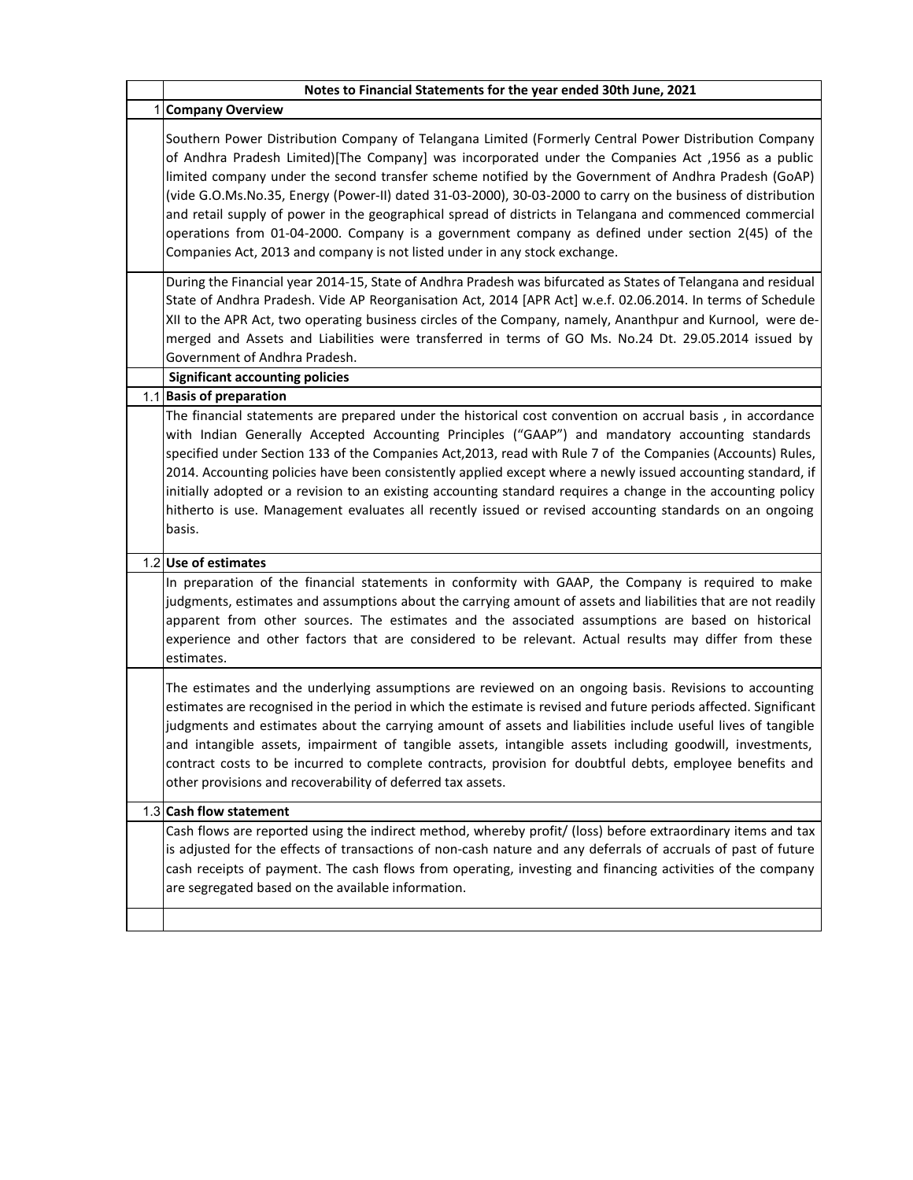| Notes to Financial Statements for the year ended 30th June, 2021                                                                                                                                                                                                                                                                                                                                                                                                                                                                                                                                                                                                                                                                   |
|------------------------------------------------------------------------------------------------------------------------------------------------------------------------------------------------------------------------------------------------------------------------------------------------------------------------------------------------------------------------------------------------------------------------------------------------------------------------------------------------------------------------------------------------------------------------------------------------------------------------------------------------------------------------------------------------------------------------------------|
| 1 Company Overview                                                                                                                                                                                                                                                                                                                                                                                                                                                                                                                                                                                                                                                                                                                 |
| Southern Power Distribution Company of Telangana Limited (Formerly Central Power Distribution Company<br>of Andhra Pradesh Limited)[The Company] was incorporated under the Companies Act ,1956 as a public<br>limited company under the second transfer scheme notified by the Government of Andhra Pradesh (GoAP)<br>(vide G.O.Ms.No.35, Energy (Power-II) dated 31-03-2000), 30-03-2000 to carry on the business of distribution<br>and retail supply of power in the geographical spread of districts in Telangana and commenced commercial<br>operations from 01-04-2000. Company is a government company as defined under section 2(45) of the<br>Companies Act, 2013 and company is not listed under in any stock exchange. |
| During the Financial year 2014-15, State of Andhra Pradesh was bifurcated as States of Telangana and residual<br>State of Andhra Pradesh. Vide AP Reorganisation Act, 2014 [APR Act] w.e.f. 02.06.2014. In terms of Schedule<br>XII to the APR Act, two operating business circles of the Company, namely, Ananthpur and Kurnool, were de-<br>merged and Assets and Liabilities were transferred in terms of GO Ms. No.24 Dt. 29.05.2014 issued by<br>Government of Andhra Pradesh.                                                                                                                                                                                                                                                |
| <b>Significant accounting policies</b><br>1.1 Basis of preparation                                                                                                                                                                                                                                                                                                                                                                                                                                                                                                                                                                                                                                                                 |
| The financial statements are prepared under the historical cost convention on accrual basis, in accordance<br>with Indian Generally Accepted Accounting Principles ("GAAP") and mandatory accounting standards<br>specified under Section 133 of the Companies Act, 2013, read with Rule 7 of the Companies (Accounts) Rules,<br>2014. Accounting policies have been consistently applied except where a newly issued accounting standard, if<br>initially adopted or a revision to an existing accounting standard requires a change in the accounting policy<br>hitherto is use. Management evaluates all recently issued or revised accounting standards on an ongoing<br>basis.                                                |
| 1.2 Use of estimates                                                                                                                                                                                                                                                                                                                                                                                                                                                                                                                                                                                                                                                                                                               |
| In preparation of the financial statements in conformity with GAAP, the Company is required to make<br>judgments, estimates and assumptions about the carrying amount of assets and liabilities that are not readily<br>apparent from other sources. The estimates and the associated assumptions are based on historical<br>experience and other factors that are considered to be relevant. Actual results may differ from these<br>estimates.                                                                                                                                                                                                                                                                                   |
| The estimates and the underlying assumptions are reviewed on an ongoing basis. Revisions to accounting<br>estimates are recognised in the period in which the estimate is revised and future periods affected. Significant<br>judgments and estimates about the carrying amount of assets and liabilities include useful lives of tangible<br>and intangible assets, impairment of tangible assets, intangible assets including goodwill, investments,<br>contract costs to be incurred to complete contracts, provision for doubtful debts, employee benefits and<br>other provisions and recoverability of deferred tax assets.                                                                                                  |
| 1.3 Cash flow statement                                                                                                                                                                                                                                                                                                                                                                                                                                                                                                                                                                                                                                                                                                            |
| Cash flows are reported using the indirect method, whereby profit/ (loss) before extraordinary items and tax<br>is adjusted for the effects of transactions of non-cash nature and any deferrals of accruals of past of future<br>cash receipts of payment. The cash flows from operating, investing and financing activities of the company<br>are segregated based on the available information.                                                                                                                                                                                                                                                                                                                                 |
|                                                                                                                                                                                                                                                                                                                                                                                                                                                                                                                                                                                                                                                                                                                                    |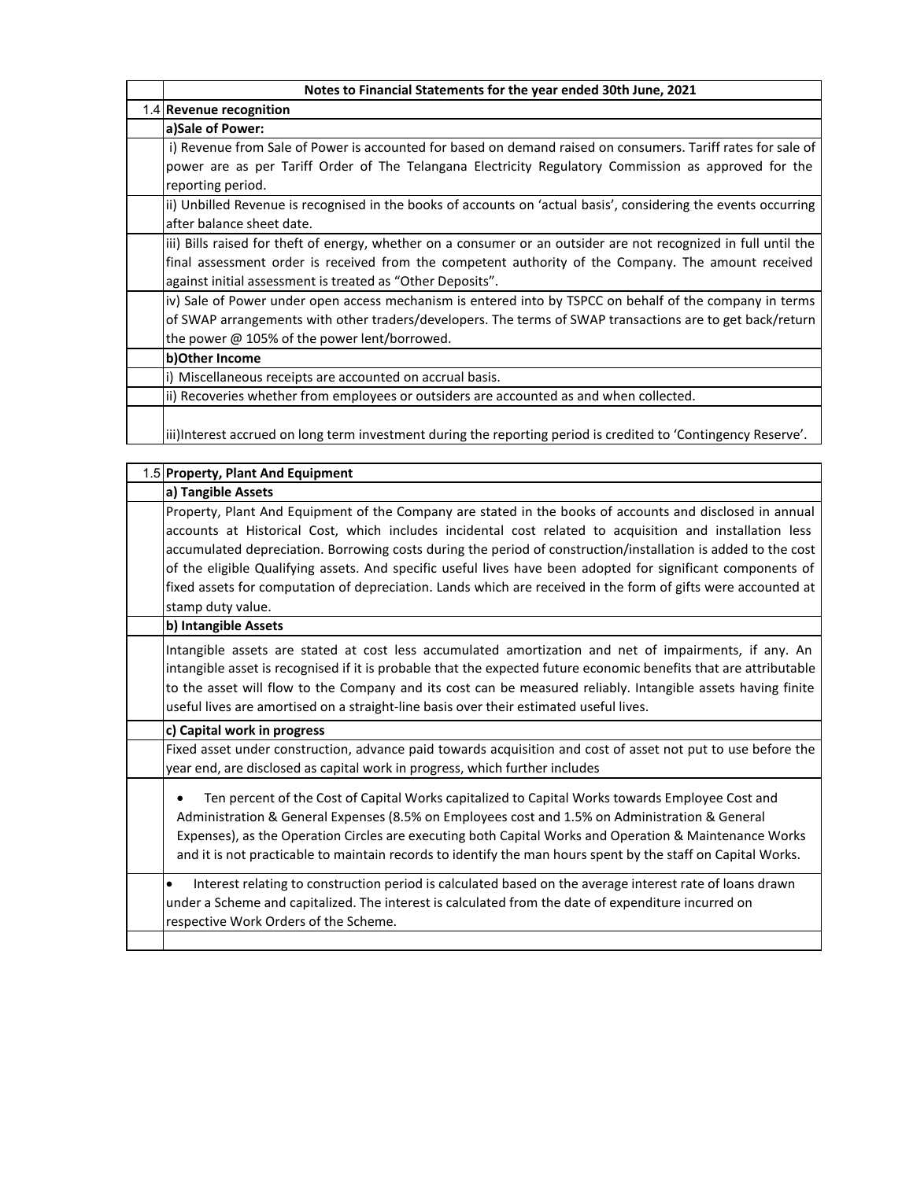| Notes to Financial Statements for the year ended 30th June, 2021                                                                             |
|----------------------------------------------------------------------------------------------------------------------------------------------|
| 1.4 Revenue recognition                                                                                                                      |
| a)Sale of Power:                                                                                                                             |
| i) Revenue from Sale of Power is accounted for based on demand raised on consumers. Tariff rates for sale of                                 |
| power are as per Tariff Order of The Telangana Electricity Regulatory Commission as approved for the<br>reporting period.                    |
| ii) Unbilled Revenue is recognised in the books of accounts on 'actual basis', considering the events occurring<br>after balance sheet date. |
| iii) Bills raised for theft of energy, whether on a consumer or an outsider are not recognized in full until the                             |
| final assessment order is received from the competent authority of the Company. The amount received                                          |
| against initial assessment is treated as "Other Deposits".                                                                                   |
| iv) Sale of Power under open access mechanism is entered into by TSPCC on behalf of the company in terms                                     |
| of SWAP arrangements with other traders/developers. The terms of SWAP transactions are to get back/return                                    |
| the power @ 105% of the power lent/borrowed.                                                                                                 |
| b) Other Income                                                                                                                              |
| i) Miscellaneous receipts are accounted on accrual basis.                                                                                    |
| (ii) Recoveries whether from employees or outsiders are accounted as and when collected.                                                     |
| liii)Interest accrued on long term investment during the reporting period is credited to 'Contingency Reserve'.                              |

| 1.5 Property, Plant And Equipment                                                                                                                                                                                                                                                                                                                                                                                                                                                                                                                                                           |
|---------------------------------------------------------------------------------------------------------------------------------------------------------------------------------------------------------------------------------------------------------------------------------------------------------------------------------------------------------------------------------------------------------------------------------------------------------------------------------------------------------------------------------------------------------------------------------------------|
| a) Tangible Assets                                                                                                                                                                                                                                                                                                                                                                                                                                                                                                                                                                          |
| Property, Plant And Equipment of the Company are stated in the books of accounts and disclosed in annual<br>accounts at Historical Cost, which includes incidental cost related to acquisition and installation less<br>accumulated depreciation. Borrowing costs during the period of construction/installation is added to the cost<br>of the eligible Qualifying assets. And specific useful lives have been adopted for significant components of<br>fixed assets for computation of depreciation. Lands which are received in the form of gifts were accounted at<br>stamp duty value. |
| b) Intangible Assets                                                                                                                                                                                                                                                                                                                                                                                                                                                                                                                                                                        |
| Intangible assets are stated at cost less accumulated amortization and net of impairments, if any. An<br>intangible asset is recognised if it is probable that the expected future economic benefits that are attributable<br>to the asset will flow to the Company and its cost can be measured reliably. Intangible assets having finite<br>useful lives are amortised on a straight-line basis over their estimated useful lives.                                                                                                                                                        |
| c) Capital work in progress                                                                                                                                                                                                                                                                                                                                                                                                                                                                                                                                                                 |
| Fixed asset under construction, advance paid towards acquisition and cost of asset not put to use before the<br>year end, are disclosed as capital work in progress, which further includes                                                                                                                                                                                                                                                                                                                                                                                                 |
| Ten percent of the Cost of Capital Works capitalized to Capital Works towards Employee Cost and<br>Administration & General Expenses (8.5% on Employees cost and 1.5% on Administration & General<br>Expenses), as the Operation Circles are executing both Capital Works and Operation & Maintenance Works<br>and it is not practicable to maintain records to identify the man hours spent by the staff on Capital Works.                                                                                                                                                                 |
| Interest relating to construction period is calculated based on the average interest rate of loans drawn<br>$\bullet$<br>under a Scheme and capitalized. The interest is calculated from the date of expenditure incurred on<br>respective Work Orders of the Scheme.                                                                                                                                                                                                                                                                                                                       |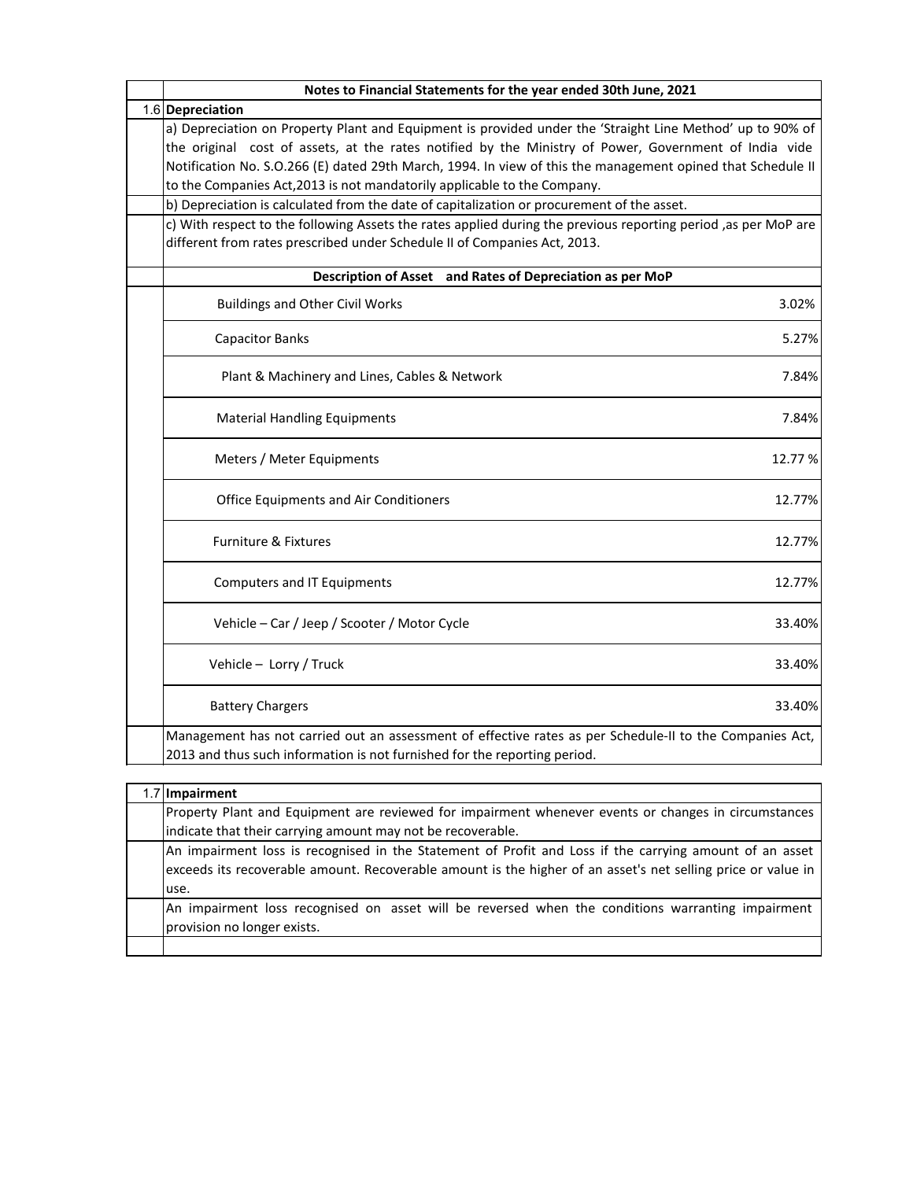| Notes to Financial Statements for the year ended 30th June, 2021                                                                                                                                                                                                                                                                                                                                              |
|---------------------------------------------------------------------------------------------------------------------------------------------------------------------------------------------------------------------------------------------------------------------------------------------------------------------------------------------------------------------------------------------------------------|
| 1.6 Depreciation                                                                                                                                                                                                                                                                                                                                                                                              |
| a) Depreciation on Property Plant and Equipment is provided under the 'Straight Line Method' up to 90% of<br>the original cost of assets, at the rates notified by the Ministry of Power, Government of India vide<br>Notification No. S.O.266 (E) dated 29th March, 1994. In view of this the management opined that Schedule II<br>to the Companies Act, 2013 is not mandatorily applicable to the Company. |
| b) Depreciation is calculated from the date of capitalization or procurement of the asset.                                                                                                                                                                                                                                                                                                                    |
| c) With respect to the following Assets the rates applied during the previous reporting period ,as per MoP are<br>different from rates prescribed under Schedule II of Companies Act, 2013.                                                                                                                                                                                                                   |
| Description of Asset and Rates of Depreciation as per MoP                                                                                                                                                                                                                                                                                                                                                     |
| <b>Buildings and Other Civil Works</b><br>3.02%                                                                                                                                                                                                                                                                                                                                                               |
| <b>Capacitor Banks</b><br>5.27%                                                                                                                                                                                                                                                                                                                                                                               |
| Plant & Machinery and Lines, Cables & Network<br>7.84%                                                                                                                                                                                                                                                                                                                                                        |
| 7.84%<br><b>Material Handling Equipments</b>                                                                                                                                                                                                                                                                                                                                                                  |
| Meters / Meter Equipments<br>12.77%                                                                                                                                                                                                                                                                                                                                                                           |
| 12.77%<br><b>Office Equipments and Air Conditioners</b>                                                                                                                                                                                                                                                                                                                                                       |
| <b>Furniture &amp; Fixtures</b><br>12.77%                                                                                                                                                                                                                                                                                                                                                                     |
| <b>Computers and IT Equipments</b><br>12.77%                                                                                                                                                                                                                                                                                                                                                                  |
| Vehicle - Car / Jeep / Scooter / Motor Cycle<br>33.40%                                                                                                                                                                                                                                                                                                                                                        |
| 33.40%<br>Vehicle - Lorry / Truck                                                                                                                                                                                                                                                                                                                                                                             |
| 33.40%<br><b>Battery Chargers</b>                                                                                                                                                                                                                                                                                                                                                                             |
| Management has not carried out an assessment of effective rates as per Schedule-II to the Companies Act,<br>2013 and thus such information is not furnished for the reporting period.                                                                                                                                                                                                                         |
|                                                                                                                                                                                                                                                                                                                                                                                                               |

| 1.7 Impairment                                                                                                                                                                                                                  |
|---------------------------------------------------------------------------------------------------------------------------------------------------------------------------------------------------------------------------------|
| Property Plant and Equipment are reviewed for impairment whenever events or changes in circumstances                                                                                                                            |
| indicate that their carrying amount may not be recoverable.                                                                                                                                                                     |
| An impairment loss is recognised in the Statement of Profit and Loss if the carrying amount of an asset<br>exceeds its recoverable amount. Recoverable amount is the higher of an asset's net selling price or value in<br>use. |
| An impairment loss recognised on asset will be reversed when the conditions warranting impairment<br>provision no longer exists.                                                                                                |
|                                                                                                                                                                                                                                 |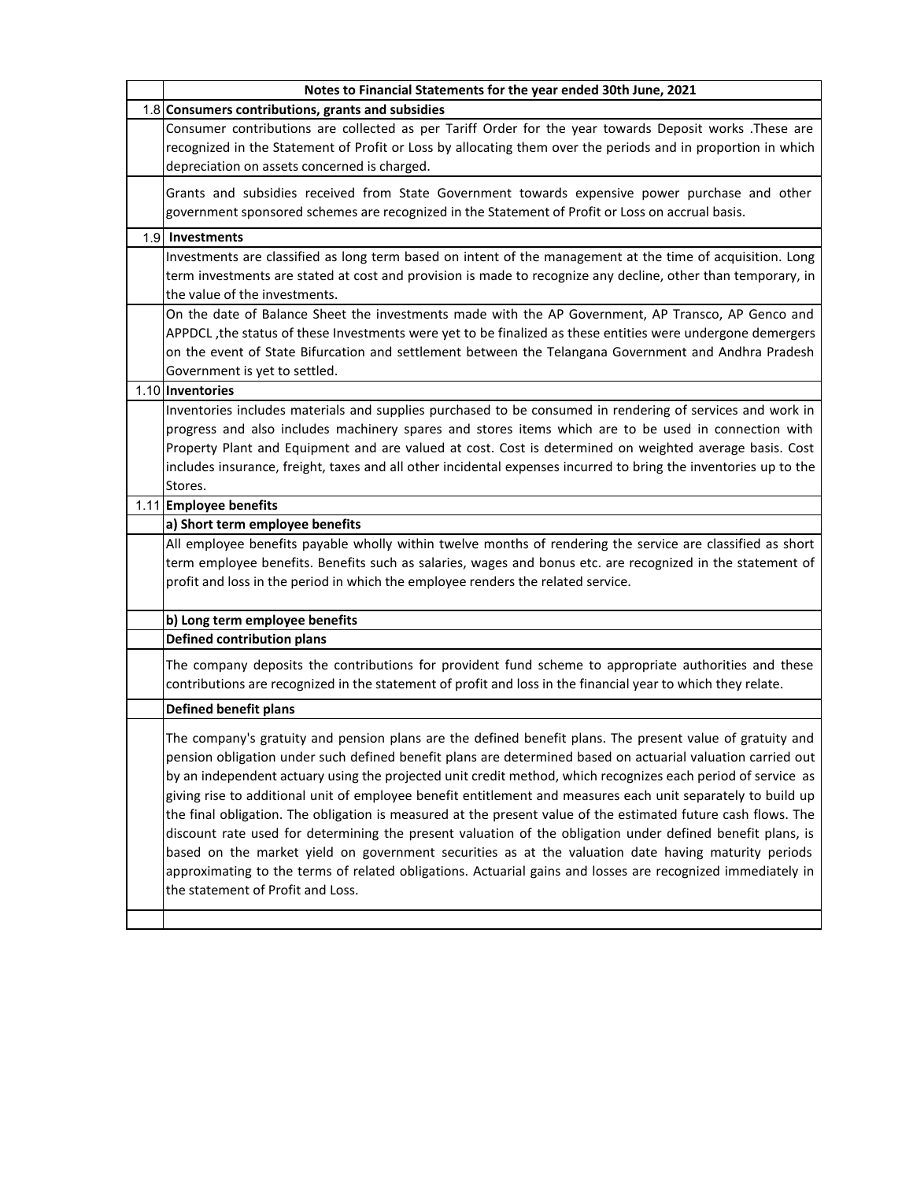| Notes to Financial Statements for the year ended 30th June, 2021                                                                                                                                                                                                                                                                                                                                                                                                                                                                                                                                                                                                                                                                                                                                                                                                                                                                                   |
|----------------------------------------------------------------------------------------------------------------------------------------------------------------------------------------------------------------------------------------------------------------------------------------------------------------------------------------------------------------------------------------------------------------------------------------------------------------------------------------------------------------------------------------------------------------------------------------------------------------------------------------------------------------------------------------------------------------------------------------------------------------------------------------------------------------------------------------------------------------------------------------------------------------------------------------------------|
| 1.8 Consumers contributions, grants and subsidies                                                                                                                                                                                                                                                                                                                                                                                                                                                                                                                                                                                                                                                                                                                                                                                                                                                                                                  |
| Consumer contributions are collected as per Tariff Order for the year towards Deposit works .These are                                                                                                                                                                                                                                                                                                                                                                                                                                                                                                                                                                                                                                                                                                                                                                                                                                             |
| recognized in the Statement of Profit or Loss by allocating them over the periods and in proportion in which                                                                                                                                                                                                                                                                                                                                                                                                                                                                                                                                                                                                                                                                                                                                                                                                                                       |
| depreciation on assets concerned is charged.                                                                                                                                                                                                                                                                                                                                                                                                                                                                                                                                                                                                                                                                                                                                                                                                                                                                                                       |
| Grants and subsidies received from State Government towards expensive power purchase and other<br>government sponsored schemes are recognized in the Statement of Profit or Loss on accrual basis.                                                                                                                                                                                                                                                                                                                                                                                                                                                                                                                                                                                                                                                                                                                                                 |
| 1.9 Investments                                                                                                                                                                                                                                                                                                                                                                                                                                                                                                                                                                                                                                                                                                                                                                                                                                                                                                                                    |
| Investments are classified as long term based on intent of the management at the time of acquisition. Long<br>term investments are stated at cost and provision is made to recognize any decline, other than temporary, in<br>the value of the investments.                                                                                                                                                                                                                                                                                                                                                                                                                                                                                                                                                                                                                                                                                        |
| On the date of Balance Sheet the investments made with the AP Government, AP Transco, AP Genco and<br>APPDCL , the status of these Investments were yet to be finalized as these entities were undergone demergers<br>on the event of State Bifurcation and settlement between the Telangana Government and Andhra Pradesh<br>Government is yet to settled.                                                                                                                                                                                                                                                                                                                                                                                                                                                                                                                                                                                        |
| 1.10 Inventories                                                                                                                                                                                                                                                                                                                                                                                                                                                                                                                                                                                                                                                                                                                                                                                                                                                                                                                                   |
| Inventories includes materials and supplies purchased to be consumed in rendering of services and work in<br>progress and also includes machinery spares and stores items which are to be used in connection with<br>Property Plant and Equipment and are valued at cost. Cost is determined on weighted average basis. Cost<br>includes insurance, freight, taxes and all other incidental expenses incurred to bring the inventories up to the                                                                                                                                                                                                                                                                                                                                                                                                                                                                                                   |
| Stores.                                                                                                                                                                                                                                                                                                                                                                                                                                                                                                                                                                                                                                                                                                                                                                                                                                                                                                                                            |
| 1.11 Employee benefits                                                                                                                                                                                                                                                                                                                                                                                                                                                                                                                                                                                                                                                                                                                                                                                                                                                                                                                             |
| a) Short term employee benefits                                                                                                                                                                                                                                                                                                                                                                                                                                                                                                                                                                                                                                                                                                                                                                                                                                                                                                                    |
| All employee benefits payable wholly within twelve months of rendering the service are classified as short<br>term employee benefits. Benefits such as salaries, wages and bonus etc. are recognized in the statement of<br>profit and loss in the period in which the employee renders the related service.                                                                                                                                                                                                                                                                                                                                                                                                                                                                                                                                                                                                                                       |
| b) Long term employee benefits                                                                                                                                                                                                                                                                                                                                                                                                                                                                                                                                                                                                                                                                                                                                                                                                                                                                                                                     |
| <b>Defined contribution plans</b>                                                                                                                                                                                                                                                                                                                                                                                                                                                                                                                                                                                                                                                                                                                                                                                                                                                                                                                  |
| The company deposits the contributions for provident fund scheme to appropriate authorities and these<br>contributions are recognized in the statement of profit and loss in the financial year to which they relate.                                                                                                                                                                                                                                                                                                                                                                                                                                                                                                                                                                                                                                                                                                                              |
| <b>Defined benefit plans</b>                                                                                                                                                                                                                                                                                                                                                                                                                                                                                                                                                                                                                                                                                                                                                                                                                                                                                                                       |
| The company's gratuity and pension plans are the defined benefit plans. The present value of gratuity and<br>pension obligation under such defined benefit plans are determined based on actuarial valuation carried out<br>by an independent actuary using the projected unit credit method, which recognizes each period of service as<br>giving rise to additional unit of employee benefit entitlement and measures each unit separately to build up<br>the final obligation. The obligation is measured at the present value of the estimated future cash flows. The<br>discount rate used for determining the present valuation of the obligation under defined benefit plans, is<br>based on the market yield on government securities as at the valuation date having maturity periods<br>approximating to the terms of related obligations. Actuarial gains and losses are recognized immediately in<br>the statement of Profit and Loss. |
|                                                                                                                                                                                                                                                                                                                                                                                                                                                                                                                                                                                                                                                                                                                                                                                                                                                                                                                                                    |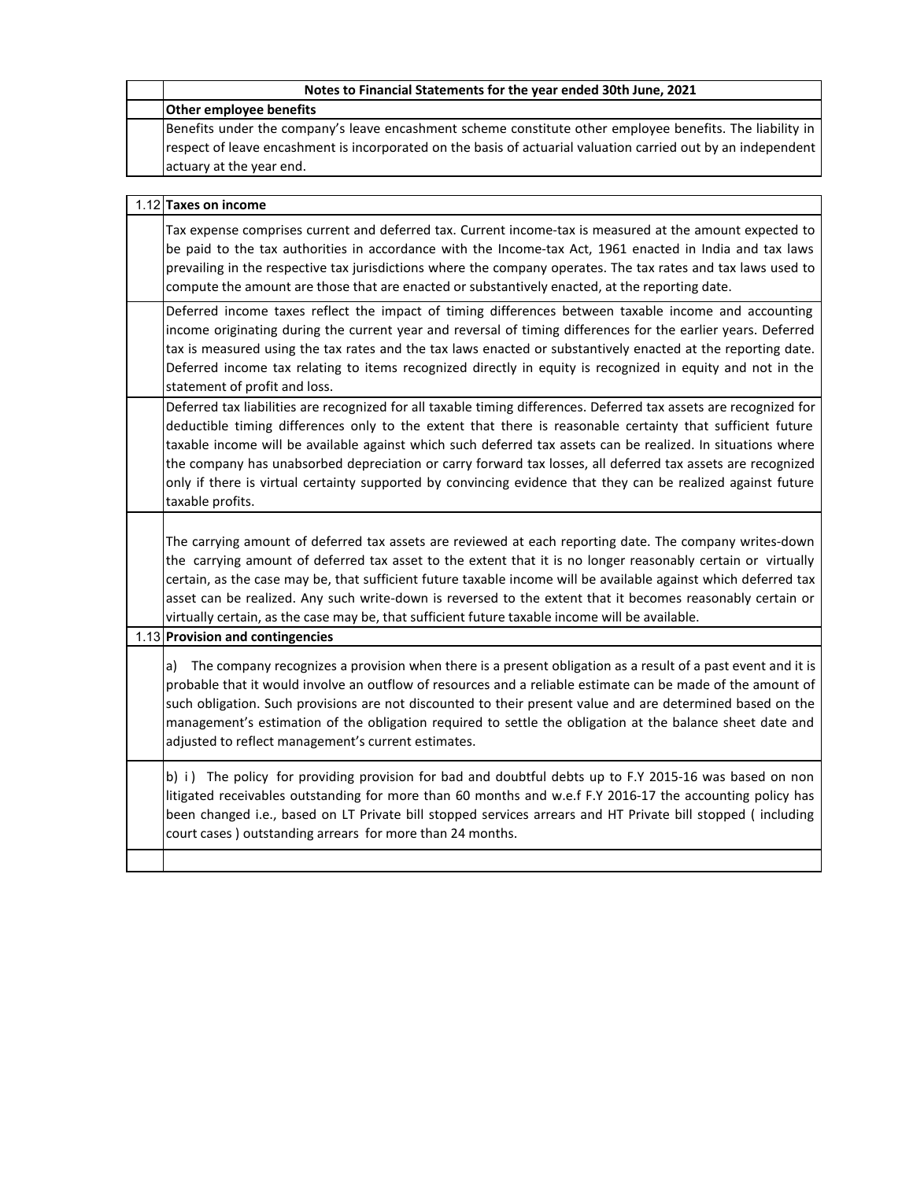| Notes to Financial Statements for the year ended 30th June, 2021                                                                                                                                                                                                                                                                                                                                                                                                                                                                                                                                    |
|-----------------------------------------------------------------------------------------------------------------------------------------------------------------------------------------------------------------------------------------------------------------------------------------------------------------------------------------------------------------------------------------------------------------------------------------------------------------------------------------------------------------------------------------------------------------------------------------------------|
| <b>Other employee benefits</b>                                                                                                                                                                                                                                                                                                                                                                                                                                                                                                                                                                      |
| Benefits under the company's leave encashment scheme constitute other employee benefits. The liability in<br>respect of leave encashment is incorporated on the basis of actuarial valuation carried out by an independent<br>actuary at the year end.                                                                                                                                                                                                                                                                                                                                              |
| 1.12 Taxes on income                                                                                                                                                                                                                                                                                                                                                                                                                                                                                                                                                                                |
| Tax expense comprises current and deferred tax. Current income-tax is measured at the amount expected to<br>be paid to the tax authorities in accordance with the Income-tax Act, 1961 enacted in India and tax laws<br>prevailing in the respective tax jurisdictions where the company operates. The tax rates and tax laws used to<br>compute the amount are those that are enacted or substantively enacted, at the reporting date.                                                                                                                                                             |
| Deferred income taxes reflect the impact of timing differences between taxable income and accounting<br>income originating during the current year and reversal of timing differences for the earlier years. Deferred<br>tax is measured using the tax rates and the tax laws enacted or substantively enacted at the reporting date.<br>Deferred income tax relating to items recognized directly in equity is recognized in equity and not in the<br>statement of profit and loss.                                                                                                                |
| Deferred tax liabilities are recognized for all taxable timing differences. Deferred tax assets are recognized for<br>deductible timing differences only to the extent that there is reasonable certainty that sufficient future<br>taxable income will be available against which such deferred tax assets can be realized. In situations where<br>the company has unabsorbed depreciation or carry forward tax losses, all deferred tax assets are recognized<br>only if there is virtual certainty supported by convincing evidence that they can be realized against future<br>taxable profits. |
| The carrying amount of deferred tax assets are reviewed at each reporting date. The company writes-down<br>the carrying amount of deferred tax asset to the extent that it is no longer reasonably certain or virtually<br>certain, as the case may be, that sufficient future taxable income will be available against which deferred tax<br>asset can be realized. Any such write-down is reversed to the extent that it becomes reasonably certain or<br>virtually certain, as the case may be, that sufficient future taxable income will be available.                                         |
| 1.13 Provision and contingencies                                                                                                                                                                                                                                                                                                                                                                                                                                                                                                                                                                    |
| The company recognizes a provision when there is a present obligation as a result of a past event and it is<br>a)<br>probable that it would involve an outflow of resources and a reliable estimate can be made of the amount of<br>such obligation. Such provisions are not discounted to their present value and are determined based on the<br>management's estimation of the obligation required to settle the obligation at the balance sheet date and<br>adjusted to reflect management's current estimates.                                                                                  |
| b) i) The policy for providing provision for bad and doubtful debts up to F.Y 2015-16 was based on non<br>litigated receivables outstanding for more than 60 months and w.e.f F.Y 2016-17 the accounting policy has<br>been changed i.e., based on LT Private bill stopped services arrears and HT Private bill stopped (including<br>court cases) outstanding arrears for more than 24 months.                                                                                                                                                                                                     |
|                                                                                                                                                                                                                                                                                                                                                                                                                                                                                                                                                                                                     |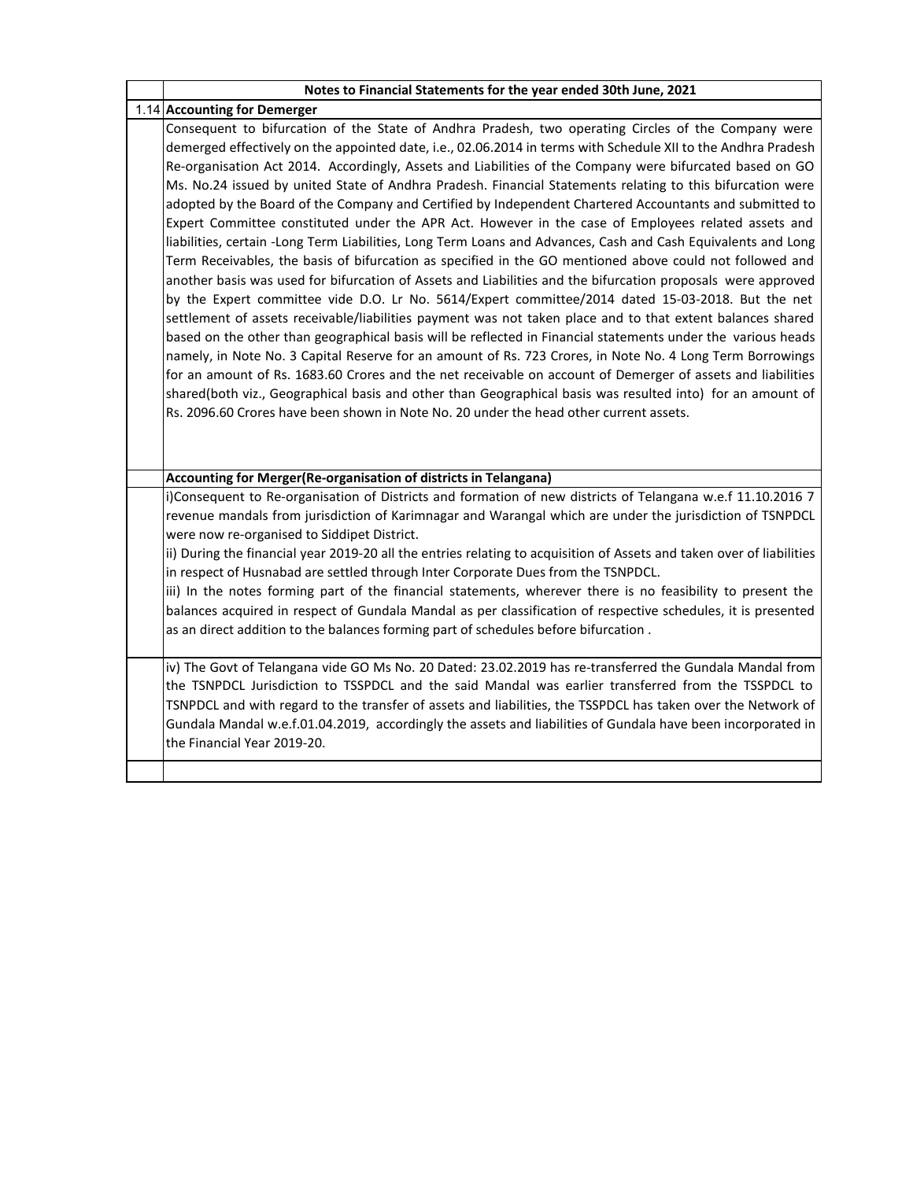| Notes to Financial Statements for the year ended 30th June, 2021                                                                                                                                                                                                                                                                                                                                                                                                                                                                                                                                                                                                                                                                                                                                                                                                                                                                                                                                                                                                                                                                                                                                                                                                                                                                                                                                                                                                   |
|--------------------------------------------------------------------------------------------------------------------------------------------------------------------------------------------------------------------------------------------------------------------------------------------------------------------------------------------------------------------------------------------------------------------------------------------------------------------------------------------------------------------------------------------------------------------------------------------------------------------------------------------------------------------------------------------------------------------------------------------------------------------------------------------------------------------------------------------------------------------------------------------------------------------------------------------------------------------------------------------------------------------------------------------------------------------------------------------------------------------------------------------------------------------------------------------------------------------------------------------------------------------------------------------------------------------------------------------------------------------------------------------------------------------------------------------------------------------|
| 1.14 Accounting for Demerger                                                                                                                                                                                                                                                                                                                                                                                                                                                                                                                                                                                                                                                                                                                                                                                                                                                                                                                                                                                                                                                                                                                                                                                                                                                                                                                                                                                                                                       |
| Consequent to bifurcation of the State of Andhra Pradesh, two operating Circles of the Company were<br>demerged effectively on the appointed date, i.e., 02.06.2014 in terms with Schedule XII to the Andhra Pradesh                                                                                                                                                                                                                                                                                                                                                                                                                                                                                                                                                                                                                                                                                                                                                                                                                                                                                                                                                                                                                                                                                                                                                                                                                                               |
| Re-organisation Act 2014. Accordingly, Assets and Liabilities of the Company were bifurcated based on GO<br>Ms. No.24 issued by united State of Andhra Pradesh. Financial Statements relating to this bifurcation were<br>adopted by the Board of the Company and Certified by Independent Chartered Accountants and submitted to<br>Expert Committee constituted under the APR Act. However in the case of Employees related assets and<br>liabilities, certain -Long Term Liabilities, Long Term Loans and Advances, Cash and Cash Equivalents and Long<br>Term Receivables, the basis of bifurcation as specified in the GO mentioned above could not followed and<br>another basis was used for bifurcation of Assets and Liabilities and the bifurcation proposals were approved<br>by the Expert committee vide D.O. Lr No. 5614/Expert committee/2014 dated 15-03-2018. But the net<br>settlement of assets receivable/liabilities payment was not taken place and to that extent balances shared<br>based on the other than geographical basis will be reflected in Financial statements under the various heads<br>namely, in Note No. 3 Capital Reserve for an amount of Rs. 723 Crores, in Note No. 4 Long Term Borrowings<br>for an amount of Rs. 1683.60 Crores and the net receivable on account of Demerger of assets and liabilities<br>shared(both viz., Geographical basis and other than Geographical basis was resulted into) for an amount of |
| Rs. 2096.60 Crores have been shown in Note No. 20 under the head other current assets.                                                                                                                                                                                                                                                                                                                                                                                                                                                                                                                                                                                                                                                                                                                                                                                                                                                                                                                                                                                                                                                                                                                                                                                                                                                                                                                                                                             |
| Accounting for Merger(Re-organisation of districts in Telangana)                                                                                                                                                                                                                                                                                                                                                                                                                                                                                                                                                                                                                                                                                                                                                                                                                                                                                                                                                                                                                                                                                                                                                                                                                                                                                                                                                                                                   |
| i)Consequent to Re-organisation of Districts and formation of new districts of Telangana w.e.f 11.10.2016 7<br>revenue mandals from jurisdiction of Karimnagar and Warangal which are under the jurisdiction of TSNPDCL<br>were now re-organised to Siddipet District.<br>ii) During the financial year 2019-20 all the entries relating to acquisition of Assets and taken over of liabilities                                                                                                                                                                                                                                                                                                                                                                                                                                                                                                                                                                                                                                                                                                                                                                                                                                                                                                                                                                                                                                                                    |
| in respect of Husnabad are settled through Inter Corporate Dues from the TSNPDCL.                                                                                                                                                                                                                                                                                                                                                                                                                                                                                                                                                                                                                                                                                                                                                                                                                                                                                                                                                                                                                                                                                                                                                                                                                                                                                                                                                                                  |
| iii) In the notes forming part of the financial statements, wherever there is no feasibility to present the<br>balances acquired in respect of Gundala Mandal as per classification of respective schedules, it is presented<br>as an direct addition to the balances forming part of schedules before bifurcation.                                                                                                                                                                                                                                                                                                                                                                                                                                                                                                                                                                                                                                                                                                                                                                                                                                                                                                                                                                                                                                                                                                                                                |
| iv) The Govt of Telangana vide GO Ms No. 20 Dated: 23.02.2019 has re-transferred the Gundala Mandal from<br>the TSNPDCL Jurisdiction to TSSPDCL and the said Mandal was earlier transferred from the TSSPDCL to<br>TSNPDCL and with regard to the transfer of assets and liabilities, the TSSPDCL has taken over the Network of<br>Gundala Mandal w.e.f.01.04.2019, accordingly the assets and liabilities of Gundala have been incorporated in<br>the Financial Year 2019-20.                                                                                                                                                                                                                                                                                                                                                                                                                                                                                                                                                                                                                                                                                                                                                                                                                                                                                                                                                                                     |
|                                                                                                                                                                                                                                                                                                                                                                                                                                                                                                                                                                                                                                                                                                                                                                                                                                                                                                                                                                                                                                                                                                                                                                                                                                                                                                                                                                                                                                                                    |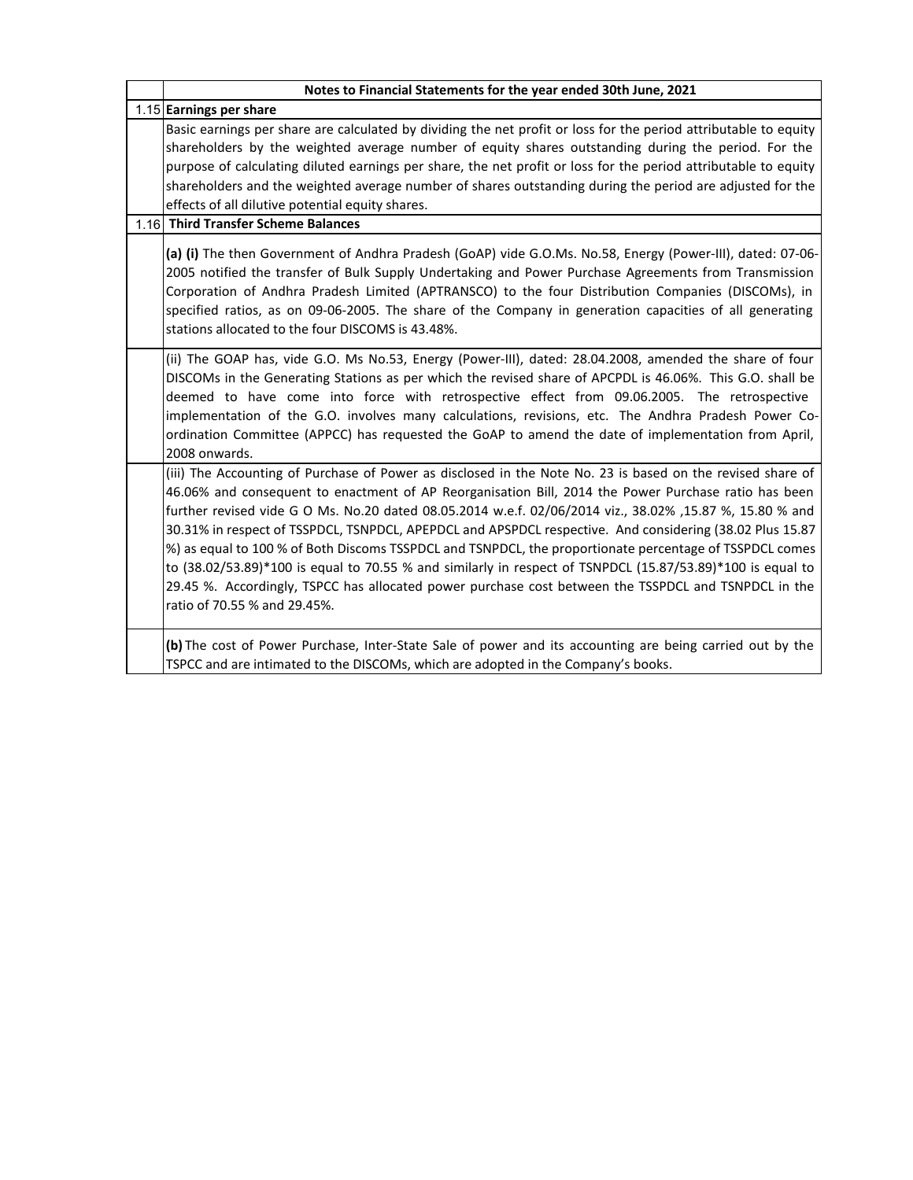| Notes to Financial Statements for the year ended 30th June, 2021                                                                                                                                                                                                                                                                                                                                                                                                                                                                                                                                                                                                                                                                                                                                            |  |
|-------------------------------------------------------------------------------------------------------------------------------------------------------------------------------------------------------------------------------------------------------------------------------------------------------------------------------------------------------------------------------------------------------------------------------------------------------------------------------------------------------------------------------------------------------------------------------------------------------------------------------------------------------------------------------------------------------------------------------------------------------------------------------------------------------------|--|
| 1.15 Earnings per share                                                                                                                                                                                                                                                                                                                                                                                                                                                                                                                                                                                                                                                                                                                                                                                     |  |
| Basic earnings per share are calculated by dividing the net profit or loss for the period attributable to equity<br>shareholders by the weighted average number of equity shares outstanding during the period. For the<br>purpose of calculating diluted earnings per share, the net profit or loss for the period attributable to equity<br>shareholders and the weighted average number of shares outstanding during the period are adjusted for the<br>effects of all dilutive potential equity shares.<br>1.16 Third Transfer Scheme Balances                                                                                                                                                                                                                                                          |  |
| (a) (i) The then Government of Andhra Pradesh (GoAP) vide G.O.Ms. No.58, Energy (Power-III), dated: 07-06-<br>2005 notified the transfer of Bulk Supply Undertaking and Power Purchase Agreements from Transmission<br>Corporation of Andhra Pradesh Limited (APTRANSCO) to the four Distribution Companies (DISCOMs), in<br>specified ratios, as on 09-06-2005. The share of the Company in generation capacities of all generating<br>stations allocated to the four DISCOMS is 43.48%.                                                                                                                                                                                                                                                                                                                   |  |
| (ii) The GOAP has, vide G.O. Ms No.53, Energy (Power-III), dated: 28.04.2008, amended the share of four<br>DISCOMs in the Generating Stations as per which the revised share of APCPDL is 46.06%. This G.O. shall be<br>deemed to have come into force with retrospective effect from 09.06.2005. The retrospective<br>implementation of the G.O. involves many calculations, revisions, etc. The Andhra Pradesh Power Co-<br>ordination Committee (APPCC) has requested the GoAP to amend the date of implementation from April,<br>2008 onwards.                                                                                                                                                                                                                                                          |  |
| (iii) The Accounting of Purchase of Power as disclosed in the Note No. 23 is based on the revised share of<br>46.06% and consequent to enactment of AP Reorganisation Bill, 2014 the Power Purchase ratio has been<br>further revised vide G O Ms. No.20 dated 08.05.2014 w.e.f. 02/06/2014 viz., 38.02% ,15.87 %, 15.80 % and<br>30.31% in respect of TSSPDCL, TSNPDCL, APEPDCL and APSPDCL respective. And considering (38.02 Plus 15.87<br>%) as equal to 100 % of Both Discoms TSSPDCL and TSNPDCL, the proportionate percentage of TSSPDCL comes<br>to (38.02/53.89)*100 is equal to 70.55 % and similarly in respect of TSNPDCL (15.87/53.89)*100 is equal to<br>29.45 %. Accordingly, TSPCC has allocated power purchase cost between the TSSPDCL and TSNPDCL in the<br>ratio of 70.55 % and 29.45%. |  |
| (b) The cost of Power Purchase, Inter-State Sale of power and its accounting are being carried out by the<br>TSPCC and are intimated to the DISCOMs, which are adopted in the Company's books.                                                                                                                                                                                                                                                                                                                                                                                                                                                                                                                                                                                                              |  |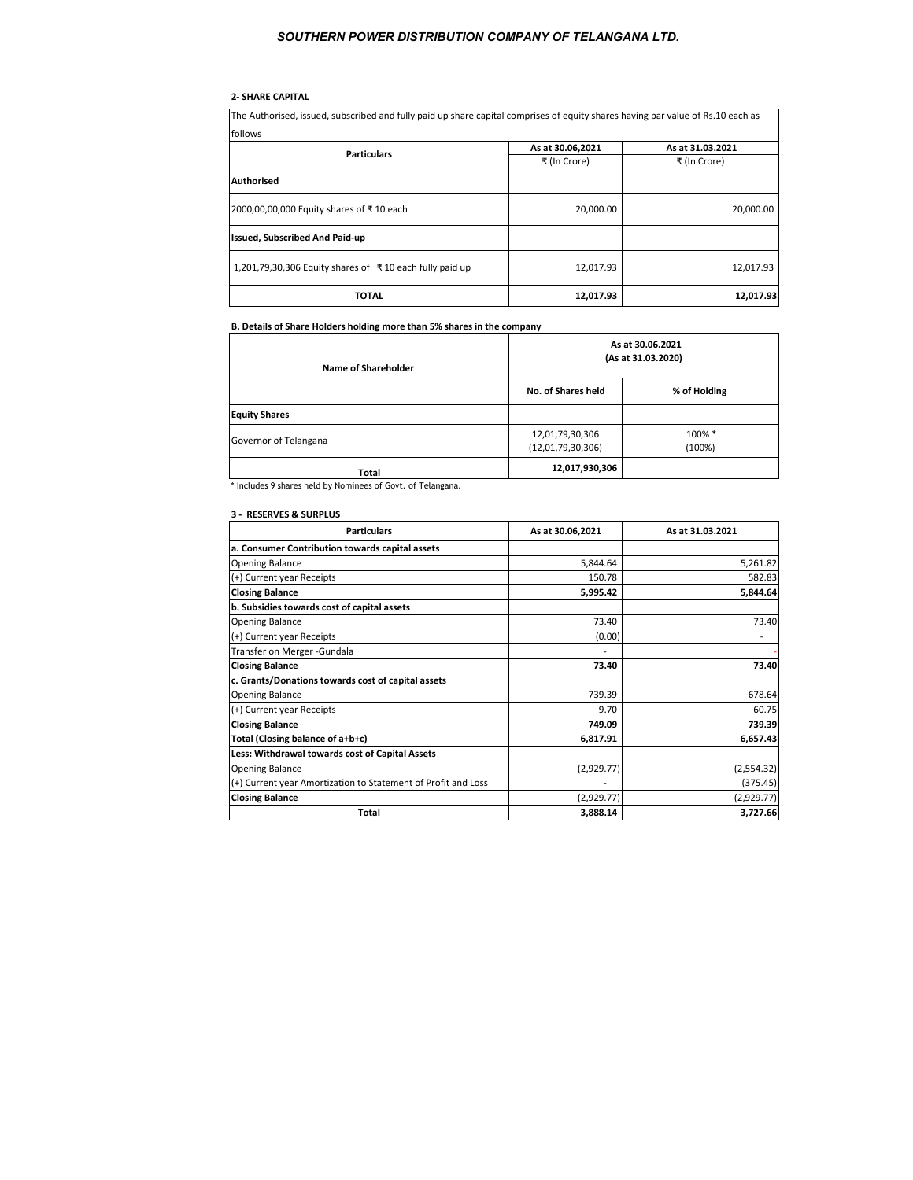# **2- SHARE CAPITAL**

The Authorised, issued, subscribed and fully paid up share capital comprises of equity shares having par value of Rs.10 each as follows

| <b>TUILUMS</b>                                          |                  |                  |  |
|---------------------------------------------------------|------------------|------------------|--|
| <b>Particulars</b>                                      | As at 30.06,2021 | As at 31.03.2021 |  |
|                                                         | ₹ (In Crore)     | ₹ (In Crore)     |  |
| <b>Authorised</b>                                       |                  |                  |  |
| 2000,00,00,000 Equity shares of ₹10 each                | 20,000.00        | 20,000.00        |  |
| <b>Issued, Subscribed And Paid-up</b>                   |                  |                  |  |
| 1,201,79,30,306 Equity shares of ₹10 each fully paid up | 12,017.93        | 12,017.93        |  |
| <b>TOTAL</b>                                            | 12,017.93        | 12,017.93        |  |

# **B. Details of Share Holders holding more than 5% shares in the company**

| Name of Shareholder                                         | As at 30.06.2021<br>(As at 31.03.2020) |                  |  |
|-------------------------------------------------------------|----------------------------------------|------------------|--|
|                                                             | No. of Shares held                     | % of Holding     |  |
| <b>Equity Shares</b>                                        |                                        |                  |  |
| Governor of Telangana                                       | 12,01,79,30,306<br>(12,01,79,30,306)   | 100% *<br>(100%) |  |
| Total                                                       | 12,017,930,306                         |                  |  |
| * Includes 9 shares held by Nominees of Govt. of Telangana. |                                        |                  |  |

#### **3 - RESERVES & SURPLUS**

| <b>Particulars</b>                                            | As at 30.06,2021 | As at 31.03.2021 |
|---------------------------------------------------------------|------------------|------------------|
| a. Consumer Contribution towards capital assets               |                  |                  |
| <b>Opening Balance</b>                                        | 5,844.64         | 5,261.82         |
| (+) Current year Receipts                                     | 150.78           | 582.83           |
| <b>Closing Balance</b>                                        | 5,995.42         | 5,844.64         |
| b. Subsidies towards cost of capital assets                   |                  |                  |
| <b>Opening Balance</b>                                        | 73.40            | 73.40            |
| (+) Current year Receipts                                     | (0.00)           |                  |
| Transfer on Merger - Gundala                                  |                  |                  |
| <b>Closing Balance</b>                                        | 73.40            | 73.40            |
| c. Grants/Donations towards cost of capital assets            |                  |                  |
| <b>Opening Balance</b>                                        | 739.39           | 678.64           |
| (+) Current year Receipts                                     | 9.70             | 60.75            |
| <b>Closing Balance</b>                                        | 749.09           | 739.39           |
| Total (Closing balance of a+b+c)                              | 6,817.91         | 6,657.43         |
| Less: Withdrawal towards cost of Capital Assets               |                  |                  |
| <b>Opening Balance</b>                                        | (2,929.77)       | (2,554.32)       |
| (+) Current year Amortization to Statement of Profit and Loss |                  | (375.45)         |
| <b>Closing Balance</b>                                        | (2,929.77)       | (2,929.77)       |
| <b>Total</b>                                                  | 3,888.14         | 3,727.66         |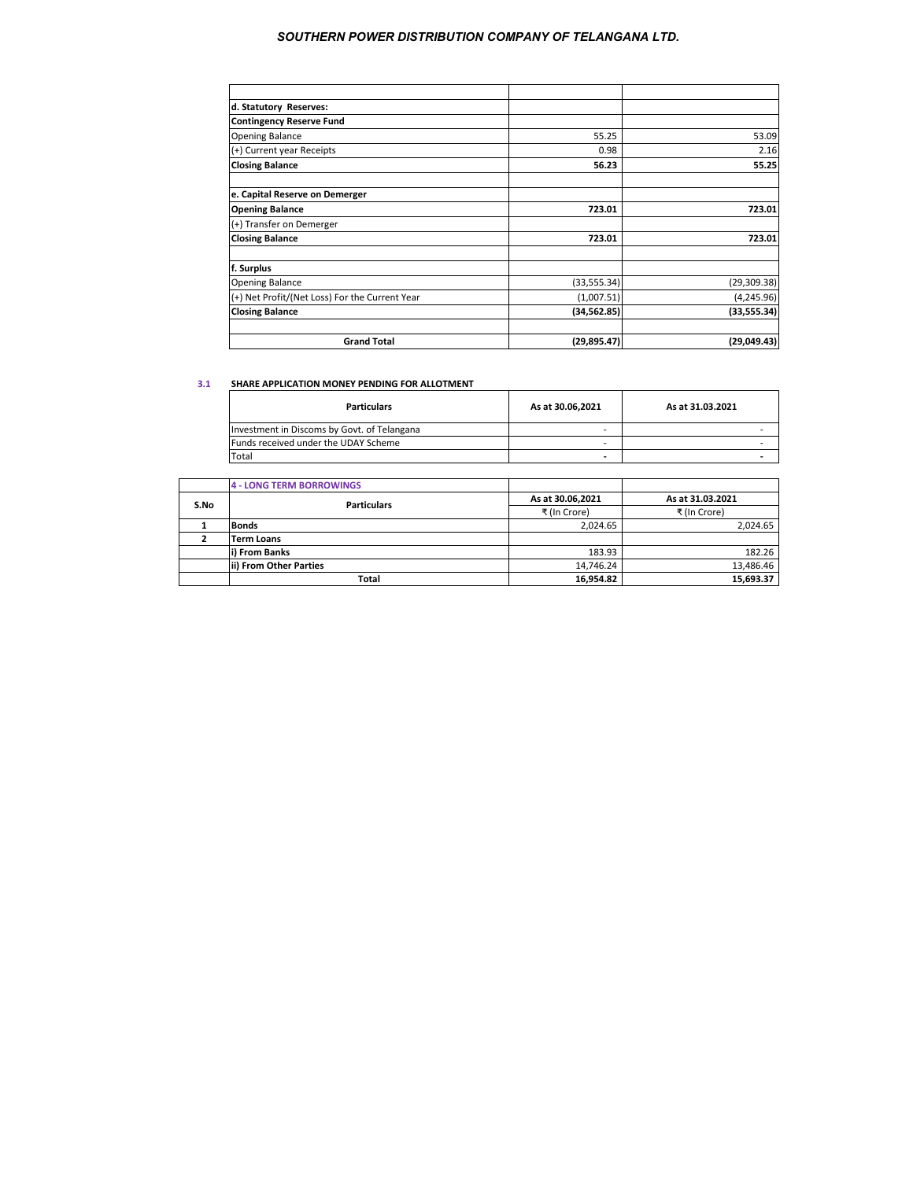| d. Statutory Reserves:                         |              |              |
|------------------------------------------------|--------------|--------------|
| <b>Contingency Reserve Fund</b>                |              |              |
| <b>Opening Balance</b>                         | 55.25        | 53.09        |
| (+) Current year Receipts                      | 0.98         | 2.16         |
| <b>Closing Balance</b>                         | 56.23        | 55.25        |
| e. Capital Reserve on Demerger                 |              |              |
| <b>Opening Balance</b>                         | 723.01       | 723.01       |
| (+) Transfer on Demerger                       |              |              |
| <b>Closing Balance</b>                         | 723.01       | 723.01       |
| f. Surplus                                     |              |              |
| <b>Opening Balance</b>                         | (33, 555.34) | (29, 309.38) |
| (+) Net Profit/(Net Loss) For the Current Year | (1,007.51)   | (4, 245.96)  |
| <b>Closing Balance</b>                         | (34, 562.85) | (33, 555.34) |
| <b>Grand Total</b>                             | (29, 895.47) | (29,049.43)  |

#### **3.1 SHARE APPLICATION MONEY PENDING FOR ALLOTMENT**

| <b>Particulars</b>                          | As at 30.06.2021 | As at 31.03.2021 |
|---------------------------------------------|------------------|------------------|
| Investment in Discoms by Govt. of Telangana |                  |                  |
| Funds received under the UDAY Scheme        |                  |                  |
| Total                                       |                  |                  |

|      | <b>4 - LONG TERM BORROWINGS</b> |                  |                  |
|------|---------------------------------|------------------|------------------|
| S.No | <b>Particulars</b>              | As at 30.06,2021 | As at 31.03.2021 |
|      |                                 | ₹ (In Crore)     | ₹ (In Crore)     |
|      | <b>Bonds</b>                    | 2.024.65         | 2.024.65         |
|      | <b>Term Loans</b>               |                  |                  |
|      | i) From Banks                   | 183.93           | 182.26           |
|      | lii) From Other Parties         | 14.746.24        | 13,486.46        |
|      | Total                           | 16,954.82        | 15,693.37        |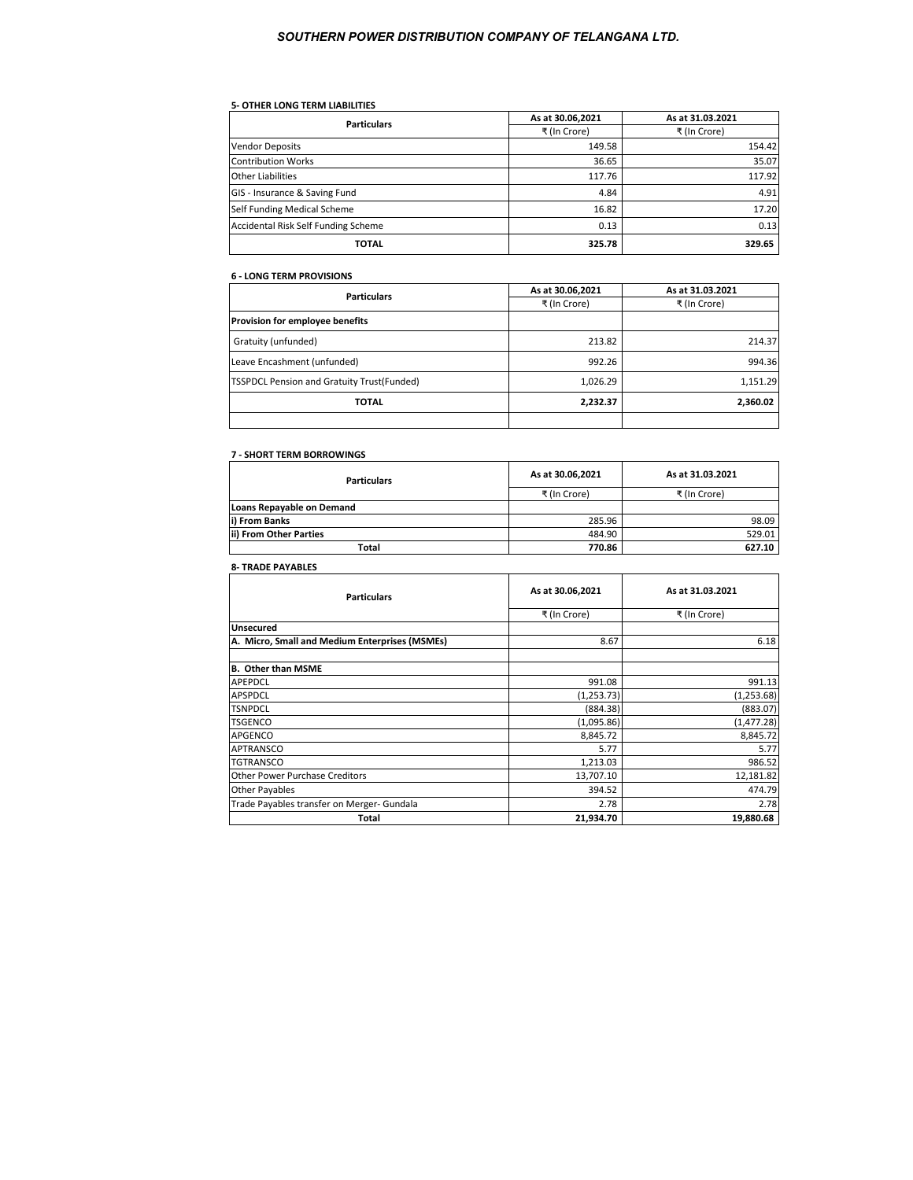# **5- OTHER LONG TERM LIABILITIES**

| <b>Particulars</b>                  | As at 30.06,2021 | As at 31.03.2021 |
|-------------------------------------|------------------|------------------|
|                                     | ₹ (In Crore)     | ₹ (In Crore)     |
| <b>Vendor Deposits</b>              | 149.58           | 154.42           |
| <b>Contribution Works</b>           | 36.65            | 35.07            |
| <b>Other Liabilities</b>            | 117.76           | 117.92           |
| GIS - Insurance & Saving Fund       | 4.84             | 4.91             |
| Self Funding Medical Scheme         | 16.82            | 17.20            |
| Accidental Risk Self Funding Scheme | 0.13             | 0.13             |
| <b>TOTAL</b>                        | 325.78           | 329.65           |

#### **6 - LONG TERM PROVISIONS**

| <b>Particulars</b>                         | As at 30.06,2021 | As at 31.03.2021 |
|--------------------------------------------|------------------|------------------|
|                                            | ₹ (In Crore)     | ₹ (In Crore)     |
| Provision for employee benefits            |                  |                  |
| Gratuity (unfunded)                        | 213.82           | 214.37           |
| Leave Encashment (unfunded)                | 992.26           | 994.36           |
| TSSPDCL Pension and Gratuity Trust(Funded) | 1,026.29         | 1,151.29         |
| <b>TOTAL</b>                               | 2,232.37         | 2,360.02         |
|                                            |                  |                  |

## **7 - SHORT TERM BORROWINGS**

| <b>Particulars</b>        | As at 30.06,2021 | As at 31.03.2021 |
|---------------------------|------------------|------------------|
|                           | ₹ (In Crore)     | ₹ (In Crore)     |
| Loans Repayable on Demand |                  |                  |
| i) From Banks             | 285.96           | 98.09            |
| ii) From Other Parties    | 484.90           | 529.01           |
| Total                     | 770.86           | 627.10           |

# **8- TRADE PAYABLES**

| <b>Particulars</b>                             | As at 30.06,2021 | As at 31.03.2021 |
|------------------------------------------------|------------------|------------------|
|                                                | ₹ (In Crore)     | ₹ (In Crore)     |
| Unsecured                                      |                  |                  |
| A. Micro, Small and Medium Enterprises (MSMEs) | 8.67             | 6.18             |
|                                                |                  |                  |
| <b>B. Other than MSME</b>                      |                  |                  |
| APEPDCL                                        | 991.08           | 991.13           |
| APSPDCL                                        | (1, 253.73)      | (1, 253.68)      |
| TSNPDCL                                        | (884.38)         | (883.07)         |
| TSGENCO                                        | (1,095.86)       | (1, 477.28)      |
| APGENCO                                        | 8,845.72         | 8,845.72         |
| APTRANSCO                                      | 5.77             | 5.77             |
| TGTRANSCO                                      | 1,213.03         | 986.52           |
| <b>Other Power Purchase Creditors</b>          | 13,707.10        | 12,181.82        |
| <b>Other Payables</b>                          | 394.52           | 474.79           |
| Trade Payables transfer on Merger- Gundala     | 2.78             | 2.78             |
| Total                                          | 21,934.70        | 19,880.68        |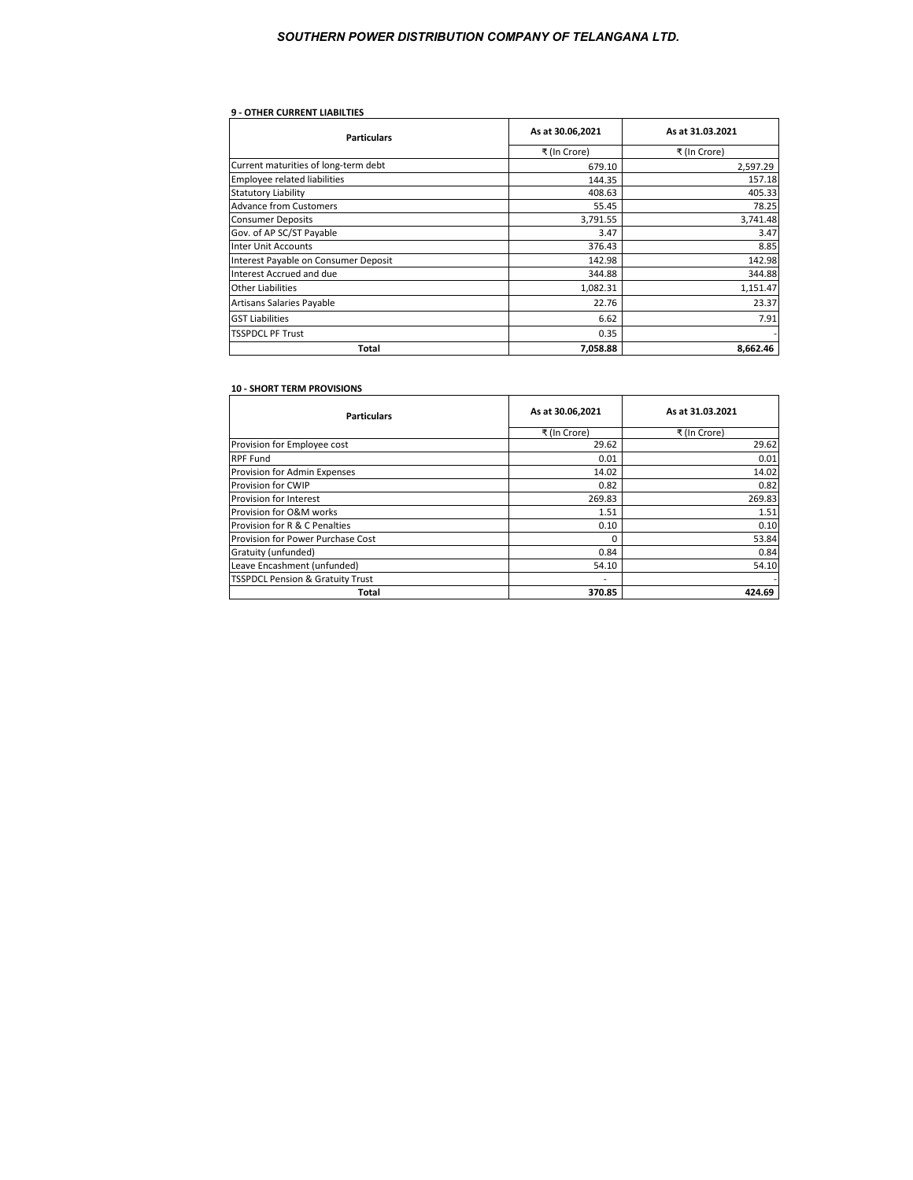## **9 - OTHER CURRENT LIABILTIES**

| <b>Particulars</b>                   | As at 30.06,2021 | As at 31.03.2021 |
|--------------------------------------|------------------|------------------|
|                                      | ₹ (In Crore)     | ₹ (In Crore)     |
| Current maturities of long-term debt | 679.10           | 2,597.29         |
| <b>Employee related liabilities</b>  | 144.35           | 157.18           |
| <b>Statutory Liability</b>           | 408.63           | 405.33           |
| <b>Advance from Customers</b>        | 55.45            | 78.25            |
| <b>Consumer Deposits</b>             | 3,791.55         | 3,741.48         |
| Gov. of AP SC/ST Payable             | 3.47             | 3.47             |
| <b>Inter Unit Accounts</b>           | 376.43           | 8.85             |
| Interest Payable on Consumer Deposit | 142.98           | 142.98           |
| Interest Accrued and due             | 344.88           | 344.88           |
| <b>Other Liabilities</b>             | 1,082.31         | 1,151.47         |
| Artisans Salaries Payable            | 22.76            | 23.37            |
| <b>GST Liabilities</b>               | 6.62             | 7.91             |
| <b>TSSPDCL PF Trust</b>              | 0.35             |                  |
| Total                                | 7,058.88         | 8,662.46         |

#### **10 - SHORT TERM PROVISIONS**

| <b>Particulars</b>                          | As at 30.06,2021 | As at 31.03.2021 |
|---------------------------------------------|------------------|------------------|
|                                             | ₹ (In Crore)     | ₹ (In Crore)     |
| Provision for Employee cost                 | 29.62            | 29.62            |
| <b>RPF Fund</b>                             | 0.01             | 0.01             |
| Provision for Admin Expenses                | 14.02            | 14.02            |
| Provision for CWIP                          | 0.82             | 0.82             |
| Provision for Interest                      | 269.83           | 269.83           |
| Provision for O&M works                     | 1.51             | 1.51             |
| Provision for R & C Penalties               | 0.10             | 0.10             |
| Provision for Power Purchase Cost           | 0                | 53.84            |
| Gratuity (unfunded)                         | 0.84             | 0.84             |
| Leave Encashment (unfunded)                 | 54.10            | 54.10            |
| <b>TSSPDCL Pension &amp; Gratuity Trust</b> |                  |                  |
| Total                                       | 370.85           | 424.69           |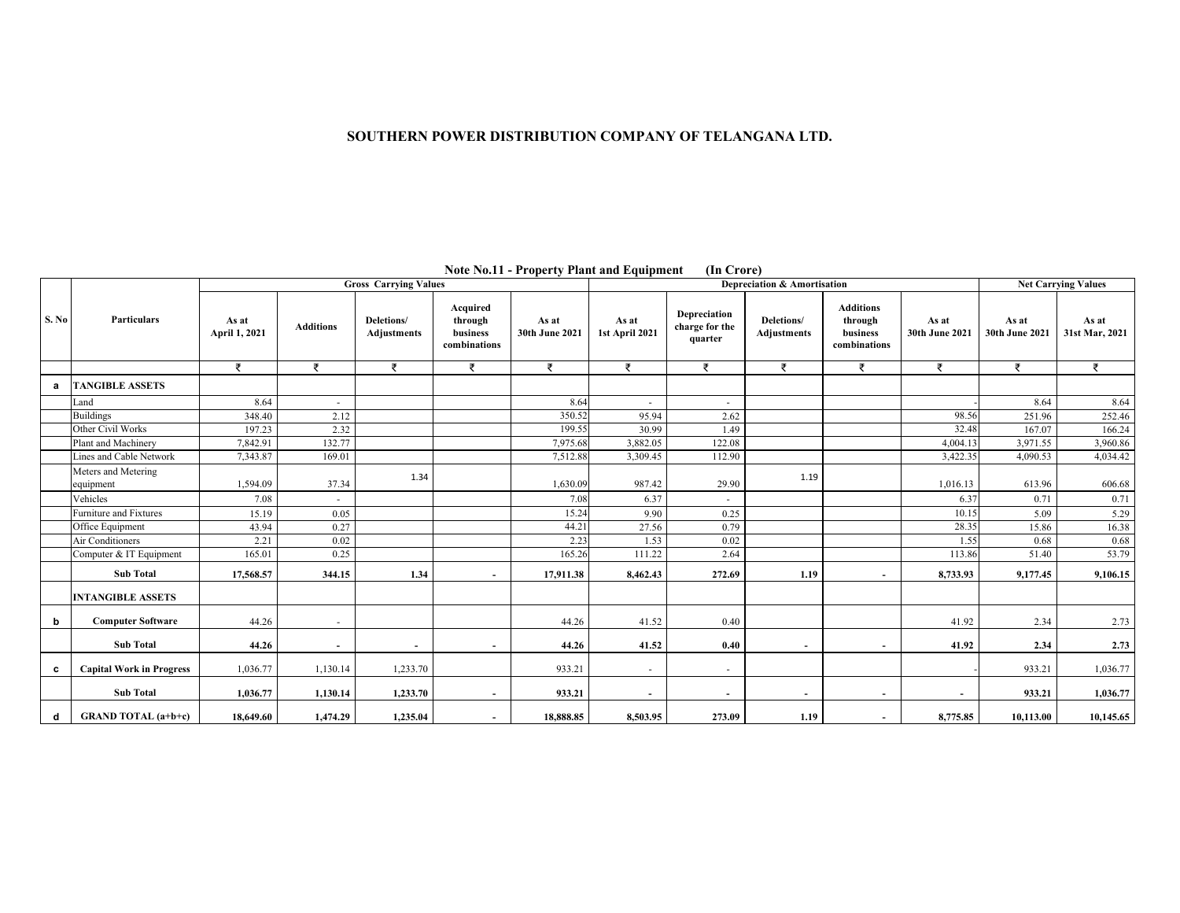**Note No.11 - Property Plant and Equipment (In Crore)** 

|       |                                  |                        |                  | <b>Gross Carrying Values</b> |                                                 |                         | Depreciation & Amortisation |                                           |                           |                                                         |                          | <b>Net Carrying Values</b> |                         |
|-------|----------------------------------|------------------------|------------------|------------------------------|-------------------------------------------------|-------------------------|-----------------------------|-------------------------------------------|---------------------------|---------------------------------------------------------|--------------------------|----------------------------|-------------------------|
| S. No | Particulars                      | As at<br>April 1, 2021 | <b>Additions</b> | Deletions/<br>Adjustments    | Acquired<br>through<br>business<br>combinations | As at<br>30th June 2021 | As at<br>1st April 2021     | Depreciation<br>charge for the<br>quarter | Deletions/<br>Adjustments | <b>Additions</b><br>through<br>business<br>combinations | As at<br>30th June 2021  | As at<br>30th June 2021    | As at<br>31st Mar, 2021 |
|       |                                  | ₹                      | ₹                | ₹                            | ₹                                               | ₹                       | ₹                           | ₹                                         | ₹                         | ₹                                                       | ₹                        | ₹                          | ₹                       |
| a     | <b>TANGIBLE ASSETS</b>           |                        |                  |                              |                                                 |                         |                             |                                           |                           |                                                         |                          |                            |                         |
|       | Land                             | 8.64                   | $\sim$           |                              |                                                 | 8.64                    |                             | ٠                                         |                           |                                                         |                          | 8.64                       | 8.64                    |
|       | <b>Buildings</b>                 | 348.40                 | 2.12             |                              |                                                 | 350.52                  | 95.94                       | 2.62                                      |                           |                                                         | 98.56                    | 251.96                     | 252.46                  |
|       | Other Civil Works                | 197.23                 | 2.32             |                              |                                                 | 199.55                  | 30.99                       | 1.49                                      |                           |                                                         | 32.48                    | 167.07                     | 166.24                  |
|       | Plant and Machinery              | 7,842.91               | 132.77           |                              |                                                 | 7,975.68                | 3,882.05                    | 122.08                                    |                           |                                                         | 4,004.13                 | 3,971.55                   | 3,960.86                |
|       | ines and Cable Network           | 7,343.87               | 169.01           |                              |                                                 | 7,512.88                | 3,309.45                    | 112.90                                    |                           |                                                         | 3,422.35                 | 4,090.53                   | 4,034.42                |
|       | Meters and Metering<br>equipment | 1,594.09               | 37.34            | 1.34                         |                                                 | 1,630.09                | 987.42                      | 29.90                                     | 1.19                      |                                                         | 1,016.13                 | 613.96                     | 606.68                  |
|       | Vehicles                         | 7.08                   | $\sim$           |                              |                                                 | 7.08                    | 6.37                        |                                           |                           |                                                         | 6.37                     | 0.71                       | 0.71                    |
|       | Furniture and Fixtures           | 15.19                  | 0.05             |                              |                                                 | 15.24                   | 9.90                        | 0.25                                      |                           |                                                         | 10.15                    | 5.09                       | 5.29                    |
|       | Office Equipment                 | 43.94                  | 0.27             |                              |                                                 | 44.21                   | 27.56                       | 0.79                                      |                           |                                                         | 28.35                    | 15.86                      | 16.38                   |
|       | Air Conditioners                 | 2.21                   | 0.02             |                              |                                                 | 2.23                    | 1.53                        | 0.02                                      |                           |                                                         | 1.55                     | 0.68                       | 0.68                    |
|       | Computer & IT Equipment          | 165.01                 | 0.25             |                              |                                                 | 165.26                  | 111.22                      | 2.64                                      |                           |                                                         | 113.86                   | 51.40                      | 53.79                   |
|       | <b>Sub Total</b>                 | 17,568.57              | 344.15           | 1.34                         |                                                 | 17,911.38               | 8,462.43                    | 272.69                                    | 1.19                      |                                                         | 8,733.93                 | 9,177.45                   | 9,106.15                |
|       | <b>INTANGIBLE ASSETS</b>         |                        |                  |                              |                                                 |                         |                             |                                           |                           |                                                         |                          |                            |                         |
| b     | <b>Computer Software</b>         | 44.26                  | $\sim$           |                              |                                                 | 44.26                   | 41.52                       | 0.40                                      |                           |                                                         | 41.92                    | 2.34                       | 2.73                    |
|       | <b>Sub Total</b>                 | 44.26                  | $\sim$           | $\overline{\phantom{a}}$     |                                                 | 44.26                   | 41.52                       | 0.40                                      | ٠                         |                                                         | 41.92                    | 2.34                       | 2.73                    |
| c     | <b>Capital Work in Progress</b>  | 1,036.77               | 1,130.14         | 1,233.70                     |                                                 | 933.21                  | $\sim$                      | ٠                                         |                           |                                                         |                          | 933.21                     | 1,036.77                |
|       | <b>Sub Total</b>                 | 1,036.77               | 1,130.14         | 1,233.70                     |                                                 | 933.21                  |                             | $\overline{\phantom{a}}$                  | $\sim$                    |                                                         | $\overline{\phantom{a}}$ | 933.21                     | 1,036.77                |
| d     | <b>GRAND TOTAL</b> (a+b+c)       | 18,649.60              | 1,474.29         | 1,235.04                     |                                                 | 18,888.85               | 8,503.95                    | 273.09                                    | 1.19                      |                                                         | 8,775.85                 | 10,113.00                  | 10,145.65               |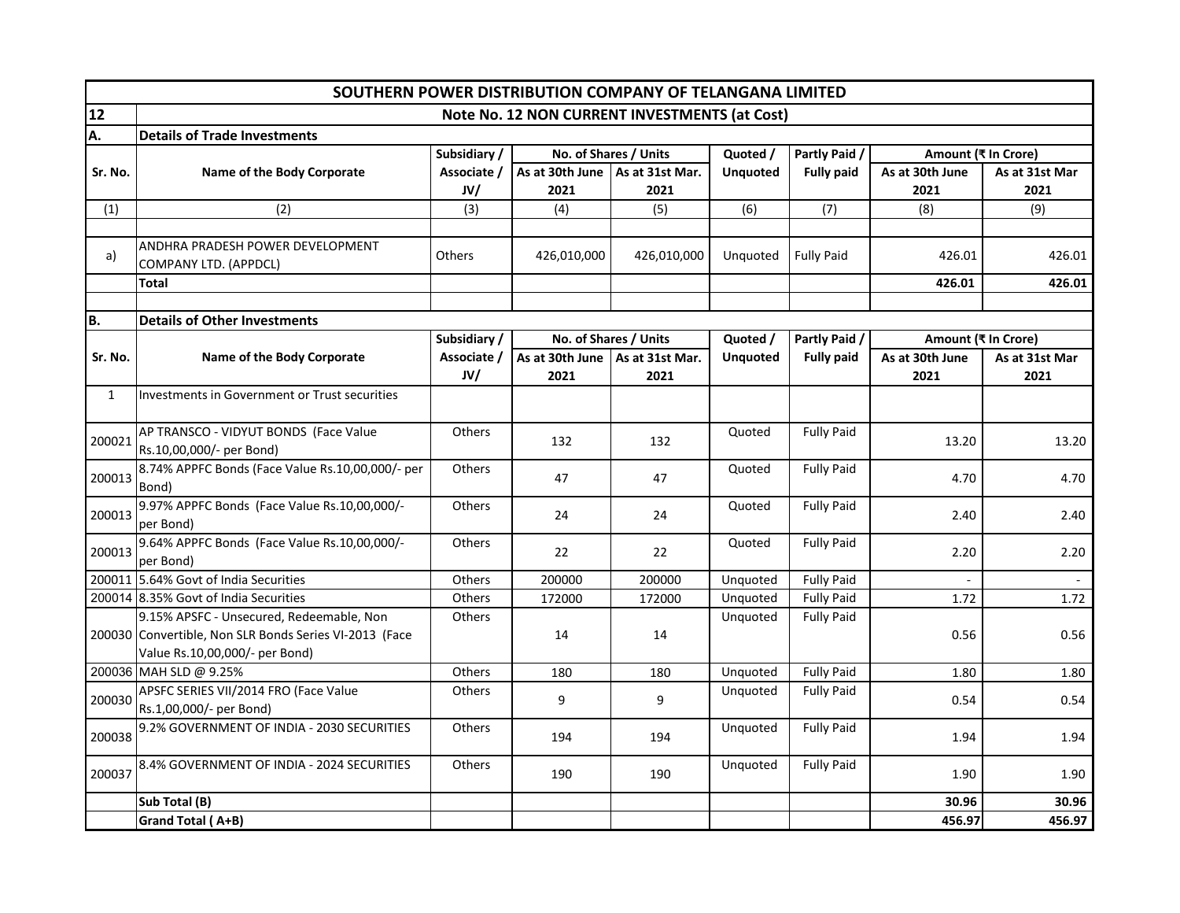|              | SOUTHERN POWER DISTRIBUTION COMPANY OF TELANGANA LIMITED                                                                             |              |                                   |                       |                 |                   |                     |                |
|--------------|--------------------------------------------------------------------------------------------------------------------------------------|--------------|-----------------------------------|-----------------------|-----------------|-------------------|---------------------|----------------|
| 12           | Note No. 12 NON CURRENT INVESTMENTS (at Cost)                                                                                        |              |                                   |                       |                 |                   |                     |                |
| Α.           | <b>Details of Trade Investments</b>                                                                                                  |              |                                   |                       |                 |                   |                     |                |
|              |                                                                                                                                      | Subsidiary / |                                   | No. of Shares / Units | Quoted /        | Partly Paid /     | Amount (₹ In Crore) |                |
| Sr. No.      | Name of the Body Corporate                                                                                                           | Associate /  | As at 30th June   As at 31st Mar. |                       | <b>Unquoted</b> | <b>Fully paid</b> | As at 30th June     | As at 31st Mar |
|              |                                                                                                                                      | JVI          | 2021                              | 2021                  |                 |                   | 2021                | 2021           |
| (1)          | (2)                                                                                                                                  | (3)          | (4)                               | (5)                   | (6)             | (7)               | (8)                 | (9)            |
|              |                                                                                                                                      |              |                                   |                       |                 |                   |                     |                |
| a)           | ANDHRA PRADESH POWER DEVELOPMENT<br>COMPANY LTD. (APPDCL)                                                                            | Others       | 426,010,000                       | 426,010,000           | Unquoted        | <b>Fully Paid</b> | 426.01              | 426.01         |
|              | Total                                                                                                                                |              |                                   |                       |                 |                   | 426.01              | 426.01         |
|              |                                                                                                                                      |              |                                   |                       |                 |                   |                     |                |
| B.           | <b>Details of Other Investments</b>                                                                                                  |              |                                   |                       |                 |                   |                     |                |
|              |                                                                                                                                      | Subsidiary / |                                   | No. of Shares / Units | Quoted /        | Partly Paid /     | Amount (₹ In Crore) |                |
| Sr. No.      | Name of the Body Corporate                                                                                                           | Associate /  | As at 30th June                   | As at 31st Mar.       | <b>Unquoted</b> | <b>Fully paid</b> | As at 30th June     | As at 31st Mar |
|              |                                                                                                                                      | JV/          | 2021                              | 2021                  |                 |                   | 2021                | 2021           |
| $\mathbf{1}$ | Investments in Government or Trust securities                                                                                        |              |                                   |                       |                 |                   |                     |                |
| 200021       | AP TRANSCO - VIDYUT BONDS (Face Value<br>Rs.10,00,000/- per Bond)                                                                    | Others       | 132                               | 132                   | Quoted          | <b>Fully Paid</b> | 13.20               | 13.20          |
| 200013       | 8.74% APPFC Bonds (Face Value Rs.10,00,000/- per<br>Bond)                                                                            | Others       | 47                                | 47                    | Quoted          | <b>Fully Paid</b> | 4.70                | 4.70           |
| 200013       | 9.97% APPFC Bonds (Face Value Rs.10,00,000/-<br>per Bond)                                                                            | Others       | 24                                | 24                    | Quoted          | <b>Fully Paid</b> | 2.40                | 2.40           |
| 200013       | 9.64% APPFC Bonds (Face Value Rs.10,00,000/-<br>per Bond)                                                                            | Others       | 22                                | 22                    | Quoted          | <b>Fully Paid</b> | 2.20                | 2.20           |
|              | 200011 5.64% Govt of India Securities                                                                                                | Others       | 200000                            | 200000                | Unquoted        | <b>Fully Paid</b> |                     |                |
|              | 200014 8.35% Govt of India Securities                                                                                                | Others       | 172000                            | 172000                | Unquoted        | <b>Fully Paid</b> | 1.72                | 1.72           |
|              | 9.15% APSFC - Unsecured, Redeemable, Non<br>200030 Convertible, Non SLR Bonds Series VI-2013 (Face<br>Value Rs.10,00,000/- per Bond) | Others       | 14                                | 14                    | Unquoted        | <b>Fully Paid</b> | 0.56                | 0.56           |
|              | 200036 MAH SLD @ 9.25%                                                                                                               | Others       | 180                               | 180                   | Unquoted        | <b>Fully Paid</b> | 1.80                | 1.80           |
| 200030       | APSFC SERIES VII/2014 FRO (Face Value<br>Rs.1,00,000/- per Bond)                                                                     | Others       | 9                                 | 9                     | Unquoted        | <b>Fully Paid</b> | 0.54                | 0.54           |
| 200038       | 9.2% GOVERNMENT OF INDIA - 2030 SECURITIES                                                                                           | Others       | 194                               | 194                   | Unquoted        | <b>Fully Paid</b> | 1.94                | 1.94           |
| 200037       | 8.4% GOVERNMENT OF INDIA - 2024 SECURITIES                                                                                           | Others       | 190                               | 190                   | Unquoted        | <b>Fully Paid</b> | 1.90                | 1.90           |
|              | Sub Total (B)                                                                                                                        |              |                                   |                       |                 |                   | 30.96               | 30.96          |
|              | Grand Total (A+B)                                                                                                                    |              |                                   |                       |                 |                   | 456.97              | 456.97         |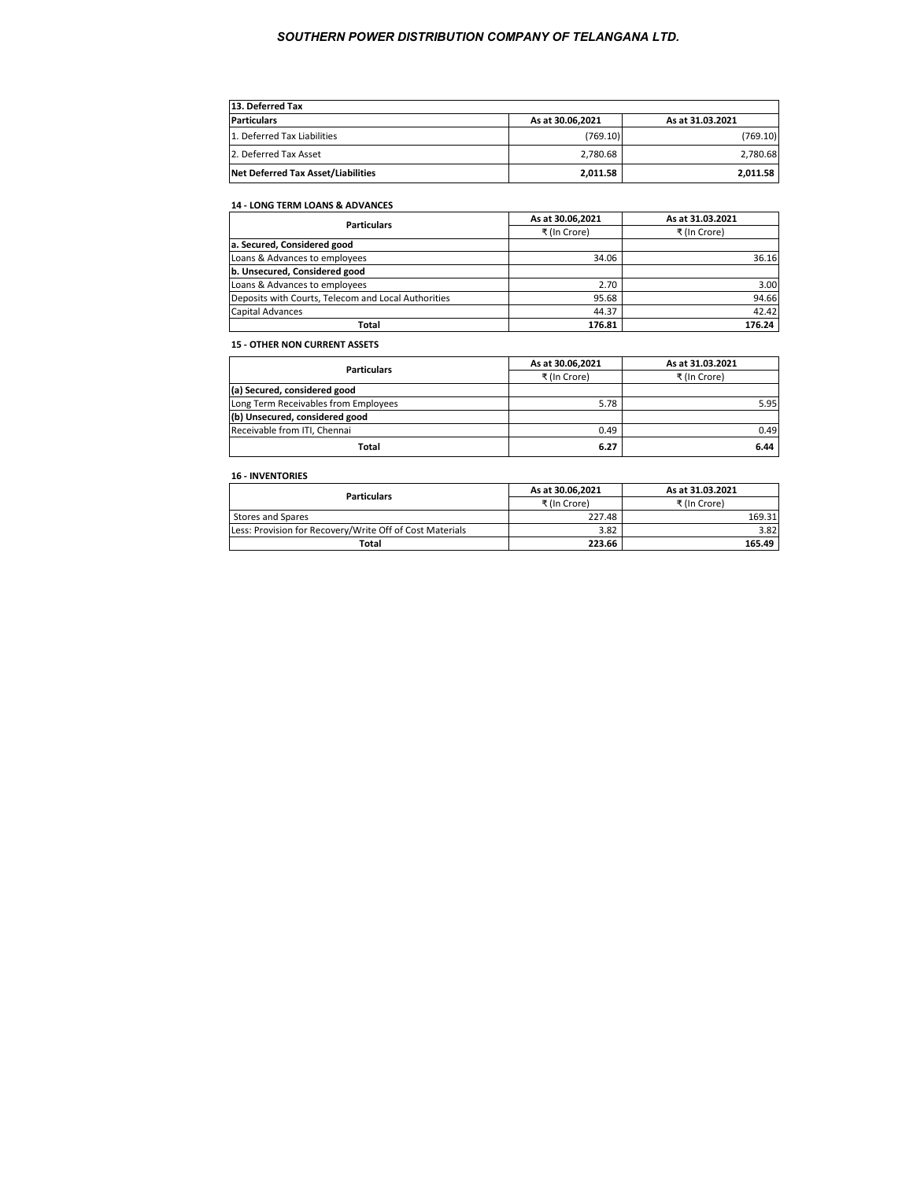| 13. Deferred Tax                   |                  |                  |  |  |  |  |
|------------------------------------|------------------|------------------|--|--|--|--|
| <b>Particulars</b>                 | As at 30.06,2021 | As at 31.03.2021 |  |  |  |  |
| 1. Deferred Tax Liabilities        | (769.10)         | (769.10)         |  |  |  |  |
| 2. Deferred Tax Asset              | 2.780.68         | 2,780.68         |  |  |  |  |
| Net Deferred Tax Asset/Liabilities | 2,011.58         | 2.011.58         |  |  |  |  |

# **14 - LONG TERM LOANS & ADVANCES**

| As at 30.06,2021 | As at 31.03.2021 |
|------------------|------------------|
| ₹ (In Crore)     | ₹ (In Crore)     |
|                  |                  |
| 34.06            | 36.16            |
|                  |                  |
| 2.70             | 3.00             |
| 95.68            | 94.66            |
| 44.37            | 42.42            |
| 176.81           | 176.24           |
|                  |                  |

# **15 - OTHER NON CURRENT ASSETS**

| <b>Particulars</b>                   | As at 30.06,2021 | As at 31.03.2021 |
|--------------------------------------|------------------|------------------|
|                                      | ₹ (In Crore)     | ₹ (In Crore)     |
| (a) Secured, considered good         |                  |                  |
| Long Term Receivables from Employees | 5.78             | 5.95             |
| (b) Unsecured, considered good       |                  |                  |
| Receivable from ITI, Chennai         | 0.49             | 0.49             |
| Total                                | 6.27             | 6.44             |

## **16 - INVENTORIES**

| <b>Particulars</b>                                       | As at 30.06.2021 | As at 31.03.2021 |
|----------------------------------------------------------|------------------|------------------|
|                                                          | ₹ (In Crore)     | ₹ (In Crore)     |
| <b>Stores and Spares</b>                                 | 227.48           | 169.31           |
| Less: Provision for Recovery/Write Off of Cost Materials | 3.82             | 3.82             |
| Total                                                    | 223.66           | 165.49           |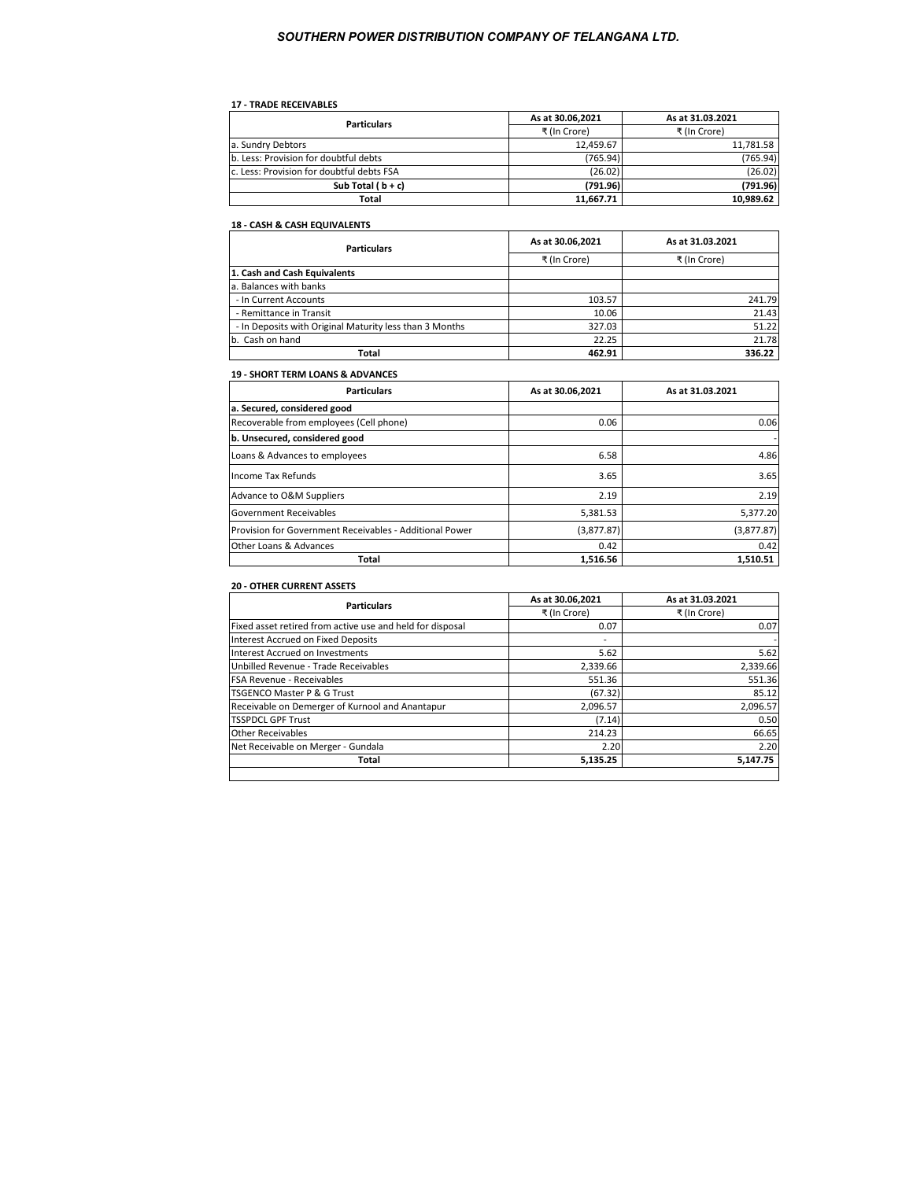## **17 - TRADE RECEIVABLES**

| <b>Particulars</b>                        | As at 30.06.2021 | As at 31.03.2021 |
|-------------------------------------------|------------------|------------------|
|                                           | ₹ (In Crore)     | ₹ (In Crore)     |
| a. Sundry Debtors                         | 12.459.67        | 11.781.58        |
| b. Less: Provision for doubtful debts     | (765.94)         | (765.94)         |
| c. Less: Provision for doubtful debts FSA | (26.02)          | (26.02)          |
| Sub Total $(b + c)$                       | (791.96)         | (791.96)         |
| Total                                     | 11.667.71        | 10.989.62        |

# **18 - CASH & CASH EQUIVALENTS**

| <b>Particulars</b>                                      | As at 30.06.2021 | As at 31.03.2021 |  |  |
|---------------------------------------------------------|------------------|------------------|--|--|
|                                                         | ₹ (In Crore)     | ₹ (In Crore)     |  |  |
| 1. Cash and Cash Equivalents                            |                  |                  |  |  |
| a. Balances with banks                                  |                  |                  |  |  |
| - In Current Accounts                                   | 103.57           | 241.79           |  |  |
| - Remittance in Transit                                 | 10.06            | 21.43            |  |  |
| - In Deposits with Original Maturity less than 3 Months | 327.03           | 51.22            |  |  |
| b. Cash on hand                                         | 22.25            | 21.78            |  |  |
| Total                                                   | 462.91           | 336.22           |  |  |

#### **19 - SHORT TERM LOANS & ADVANCES**

| <b>Particulars</b>                                      | As at 30.06,2021 | As at 31.03.2021 |
|---------------------------------------------------------|------------------|------------------|
| a. Secured, considered good                             |                  |                  |
| Recoverable from employees (Cell phone)                 | 0.06             | 0.06             |
| b. Unsecured, considered good                           |                  |                  |
| Loans & Advances to employees                           | 6.58             | 4.86             |
| Income Tax Refunds                                      | 3.65             | 3.65             |
| Advance to O&M Suppliers                                | 2.19             | 2.19             |
| Government Receivables                                  | 5,381.53         | 5,377.20         |
| Provision for Government Receivables - Additional Power | (3,877.87)       | (3,877.87)       |
| Other Loans & Advances                                  | 0.42             | 0.42             |
| Total                                                   | 1.516.56         | 1.510.51         |

## **20 - OTHER CURRENT ASSETS**

| <b>Particulars</b>                                        | As at 30.06,2021 | As at 31.03.2021 |  |
|-----------------------------------------------------------|------------------|------------------|--|
|                                                           | ₹ (In Crore)     | ₹ (In Crore)     |  |
| Fixed asset retired from active use and held for disposal | 0.07             | 0.07             |  |
| Interest Accrued on Fixed Deposits                        |                  |                  |  |
| Interest Accrued on Investments                           | 5.62             | 5.62             |  |
| Unbilled Revenue - Trade Receivables                      | 2,339.66         | 2,339.66         |  |
| FSA Revenue - Receivables                                 | 551.36           | 551.36           |  |
| <b>TSGENCO Master P &amp; G Trust</b>                     | (67.32)          | 85.12            |  |
| Receivable on Demerger of Kurnool and Anantapur           | 2,096.57         | 2,096.57         |  |
| <b>TSSPDCL GPF Trust</b>                                  | (7.14)           | 0.50             |  |
| <b>Other Receivables</b>                                  | 214.23           | 66.65            |  |
| Net Receivable on Merger - Gundala                        | 2.20             | 2.20             |  |
| Total                                                     | 5,135.25         | 5.147.75         |  |
|                                                           |                  |                  |  |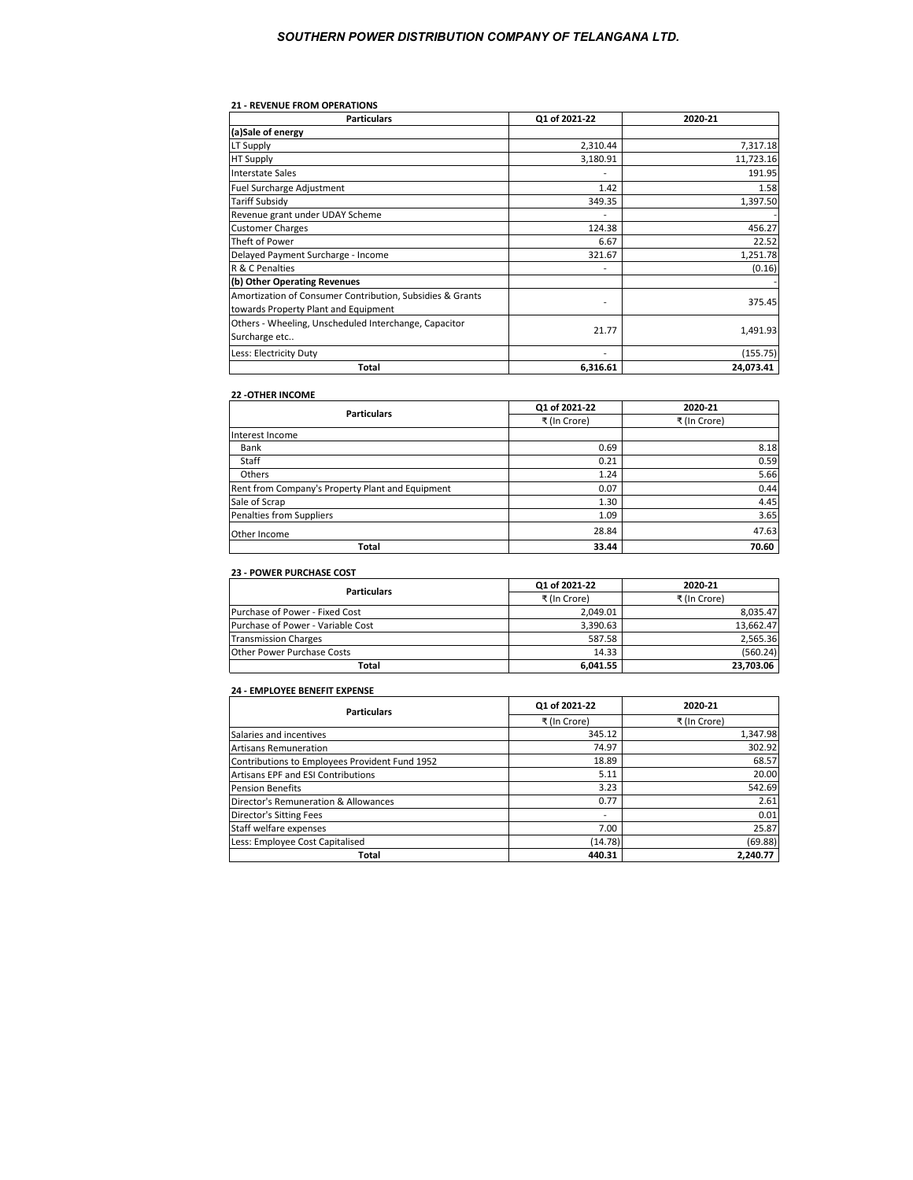#### **21 - REVENUE FROM OPERATIONS**

| <b>Particulars</b>                                        | Q1 of 2021-22 | 2020-21   |
|-----------------------------------------------------------|---------------|-----------|
| (a)Sale of energy                                         |               |           |
| LT Supply                                                 | 2,310.44      | 7,317.18  |
| <b>HT Supply</b>                                          | 3,180.91      | 11,723.16 |
| Interstate Sales                                          |               | 191.95    |
| Fuel Surcharge Adjustment                                 | 1.42          | 1.58      |
| Tariff Subsidy                                            | 349.35        | 1,397.50  |
| Revenue grant under UDAY Scheme                           |               |           |
| <b>Customer Charges</b>                                   | 124.38        | 456.27    |
| Theft of Power                                            | 6.67          | 22.52     |
| Delayed Payment Surcharge - Income                        | 321.67        | 1,251.78  |
| R & C Penalties                                           |               | (0.16)    |
| (b) Other Operating Revenues                              |               |           |
| Amortization of Consumer Contribution, Subsidies & Grants |               | 375.45    |
| towards Property Plant and Equipment                      |               |           |
| Others - Wheeling, Unscheduled Interchange, Capacitor     | 21.77         | 1,491.93  |
| Surcharge etc                                             |               |           |
| Less: Electricity Duty                                    |               | (155.75)  |
| Total                                                     | 6,316.61      | 24,073.41 |

## **22 -OTHER INCOME**

| <b>Particulars</b>                               | Q1 of 2021-22 | 2020-21      |
|--------------------------------------------------|---------------|--------------|
|                                                  | ₹ (In Crore)  | ₹ (In Crore) |
| Interest Income                                  |               |              |
| Bank                                             | 0.69          | 8.18         |
| Staff                                            | 0.21          | 0.59         |
| Others                                           | 1.24          | 5.66         |
| Rent from Company's Property Plant and Equipment | 0.07          | 0.44         |
| Sale of Scrap                                    | 1.30          | 4.45         |
| Penalties from Suppliers                         | 1.09          | 3.65         |
| Other Income                                     | 28.84         | 47.63        |
| Total                                            | 33.44         | 70.60        |

#### **23 - POWER PURCHASE COST**

| <b>Particulars</b>                | Q1 of 2021-22 | 2020-21      |
|-----------------------------------|---------------|--------------|
|                                   | ₹ (In Crore)  | ₹ (In Crore) |
| Purchase of Power - Fixed Cost    | 2.049.01      | 8.035.47     |
| Purchase of Power - Variable Cost | 3.390.63      | 13.662.47    |
| <b>Transmission Charges</b>       | 587.58        | 2.565.36     |
| Other Power Purchase Costs        | 14.33         | (560.24)     |
| Total                             | 6.041.55      | 23.703.06    |

# **24 - EMPLOYEE BENEFIT EXPENSE**

| <b>Particulars</b>                             | Q1 of 2021-22 | 2020-21      |
|------------------------------------------------|---------------|--------------|
|                                                | ₹ (In Crore)  | ₹ (In Crore) |
| Salaries and incentives                        | 345.12        | 1,347.98     |
| <b>Artisans Remuneration</b>                   | 74.97         | 302.92       |
| Contributions to Employees Provident Fund 1952 | 18.89         | 68.57        |
| Artisans EPF and ESI Contributions             | 5.11          | 20.00        |
| <b>Pension Benefits</b>                        | 3.23          | 542.69       |
| Director's Remuneration & Allowances           | 0.77          | 2.61         |
| <b>Director's Sitting Fees</b>                 |               | 0.01         |
| Staff welfare expenses                         | 7.00          | 25.87        |
| Less: Employee Cost Capitalised                | (14.78)       | (69.88)      |
| Total                                          | 440.31        | 2.240.77     |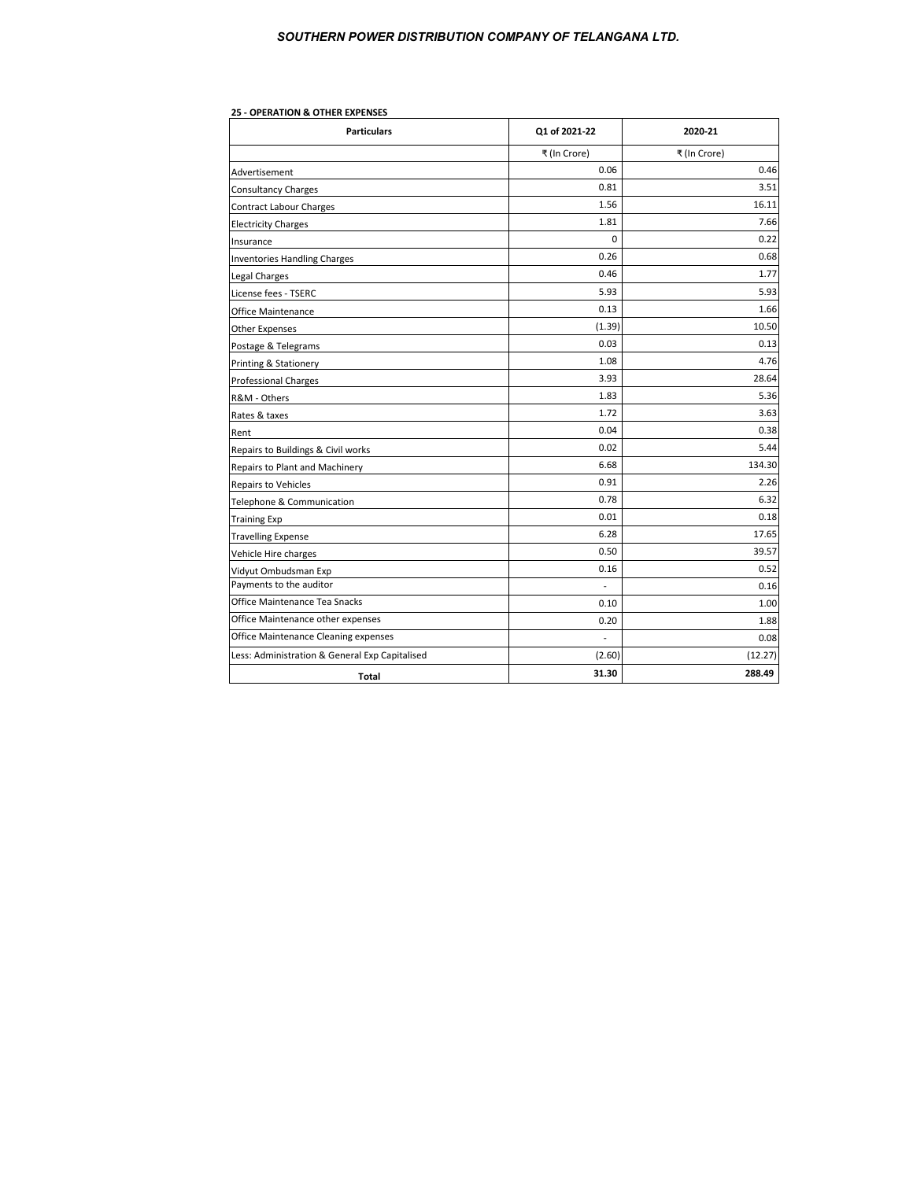| <b>Particulars</b>                             | Q1 of 2021-22  | 2020-21      |
|------------------------------------------------|----------------|--------------|
|                                                | ₹ (In Crore)   | ₹ (In Crore) |
| Advertisement                                  | 0.06           | 0.46         |
| <b>Consultancy Charges</b>                     | 0.81           | 3.51         |
| <b>Contract Labour Charges</b>                 | 1.56           | 16.11        |
| <b>Electricity Charges</b>                     | 1.81           | 7.66         |
| Insurance                                      | $\Omega$       | 0.22         |
| <b>Inventories Handling Charges</b>            | 0.26           | 0.68         |
| Legal Charges                                  | 0.46           | 1.77         |
| License fees - TSERC                           | 5.93           | 5.93         |
| Office Maintenance                             | 0.13           | 1.66         |
| <b>Other Expenses</b>                          | (1.39)         | 10.50        |
| Postage & Telegrams                            | 0.03           | 0.13         |
| Printing & Stationery                          | 1.08           | 4.76         |
| <b>Professional Charges</b>                    | 3.93           | 28.64        |
| R&M - Others                                   | 1.83           | 5.36         |
| Rates & taxes                                  | 1.72           | 3.63         |
| Rent                                           | 0.04           | 0.38         |
| Repairs to Buildings & Civil works             | 0.02           | 5.44         |
| Repairs to Plant and Machinery                 | 6.68           | 134.30       |
| <b>Repairs to Vehicles</b>                     | 0.91           | 2.26         |
| Telephone & Communication                      | 0.78           | 6.32         |
| <b>Training Exp</b>                            | 0.01           | 0.18         |
| <b>Travelling Expense</b>                      | 6.28           | 17.65        |
| Vehicle Hire charges                           | 0.50           | 39.57        |
| Vidyut Ombudsman Exp                           | 0.16           | 0.52         |
| Payments to the auditor                        | $\overline{a}$ | 0.16         |
| Office Maintenance Tea Snacks                  | 0.10           | 1.00         |
| Office Maintenance other expenses              | 0.20           | 1.88         |
| Office Maintenance Cleaning expenses           | L,             | 0.08         |
| Less: Administration & General Exp Capitalised | (2.60)         | (12.27)      |
| Total                                          | 31.30          | 288.49       |

## **25 - OPERATION & OTHER EXPENSES**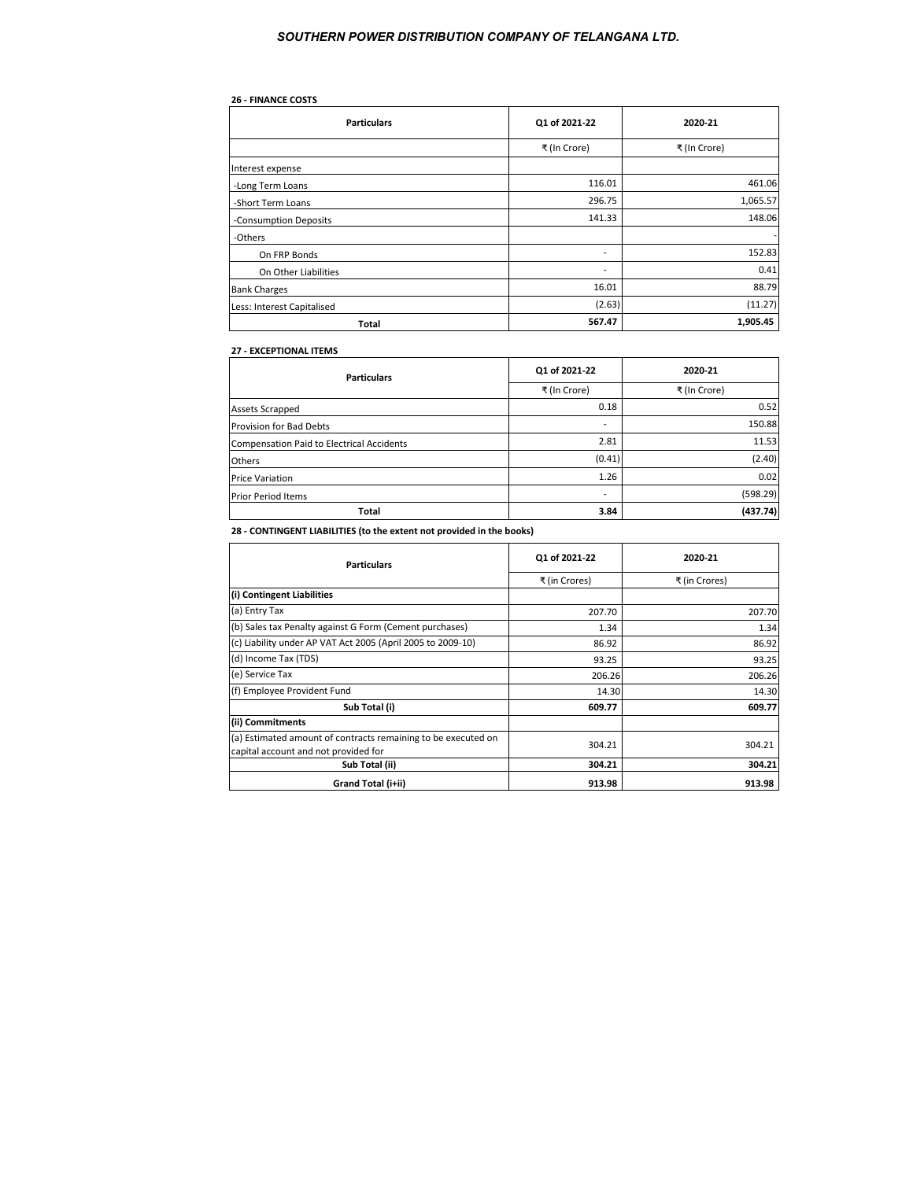# **26 - FINANCE COSTS**

| <b>Particulars</b>         | Q1 of 2021-22            | 2020-21      |
|----------------------------|--------------------------|--------------|
|                            | ₹ (In Crore)             | ₹ (In Crore) |
| Interest expense           |                          |              |
| -Long Term Loans           | 116.01                   | 461.06       |
| -Short Term Loans          | 296.75                   | 1,065.57     |
| -Consumption Deposits      | 141.33                   | 148.06       |
| -Others                    |                          |              |
| On FRP Bonds               | $\overline{\phantom{0}}$ | 152.83       |
| On Other Liabilities       | $\overline{\phantom{0}}$ | 0.41         |
| <b>Bank Charges</b>        | 16.01                    | 88.79        |
| Less: Interest Capitalised | (2.63)                   | (11.27)      |
| <b>Total</b>               | 567.47                   | 1,905.45     |

## **27 - EXCEPTIONAL ITEMS**

| <b>Particulars</b>                        | Q1 of 2021-22 | 2020-21      |
|-------------------------------------------|---------------|--------------|
|                                           | ₹ (In Crore)  | ₹ (In Crore) |
| <b>Assets Scrapped</b>                    | 0.18          | 0.52         |
| <b>Provision for Bad Debts</b>            |               | 150.88       |
| Compensation Paid to Electrical Accidents | 2.81          | 11.53        |
| <b>Others</b>                             | (0.41)        | (2.40)       |
| <b>Price Variation</b>                    | 1.26          | 0.02         |
| <b>Prior Period Items</b>                 |               | (598.29)     |
| Total                                     | 3.84          | (437.74)     |

**28 - CONTINGENT LIABILITIES (to the extent not provided in the books)**

| <b>Particulars</b>                                                                                    | Q1 of 2021-22 | 2020-21       |
|-------------------------------------------------------------------------------------------------------|---------------|---------------|
|                                                                                                       | ₹ (in Crores) | ₹ (in Crores) |
| (i) Contingent Liabilities                                                                            |               |               |
| (a) Entry Tax                                                                                         | 207.70        | 207.70        |
| (b) Sales tax Penalty against G Form (Cement purchases)                                               | 1.34          | 1.34          |
| (c) Liability under AP VAT Act 2005 (April 2005 to 2009-10)                                           | 86.92         | 86.92         |
| (d) Income Tax (TDS)                                                                                  | 93.25         | 93.25         |
| (e) Service Tax                                                                                       | 206.26        | 206.26        |
| (f) Employee Provident Fund                                                                           | 14.30         | 14.30         |
| Sub Total (i)                                                                                         | 609.77        | 609.77        |
| (ii) Commitments                                                                                      |               |               |
| (a) Estimated amount of contracts remaining to be executed on<br>capital account and not provided for | 304.21        | 304.21        |
| Sub Total (ii)                                                                                        | 304.21        | 304.21        |
| Grand Total (i+ii)                                                                                    | 913.98        | 913.98        |